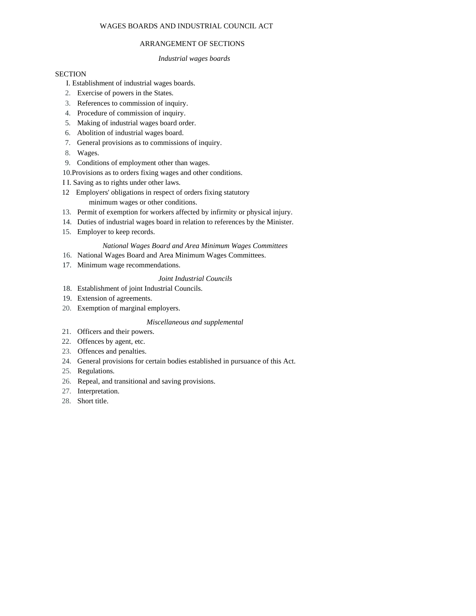# WAGES BOARDS AND INDUSTRIAL COUNCIL ACT

# ARRANGEMENT OF SECTIONS

## *Industrial wages boards*

## **SECTION**

## I. Establishment of industrial wages boards.

- 2. Exercise of powers in the States.
- 3. References to commission of inquiry.
- 4. Procedure of commission of inquiry.
- 5. Making of industrial wages board order.
- 6. Abolition of industrial wages board.
- 7. General provisions as to commissions of inquiry.
- 8. Wages.
- 9. Conditions of employment other than wages.
- 10.Provisions as to orders fixing wages and other conditions.
- I I. Saving as to rights under other laws.
- 12 Employers' obligations in respect of orders fixing statutory minimum wages or other conditions.
- 13. Permit of exemption for workers affected by infirmity or physical injury.
- 14. Duties of industrial wages board in relation to references by the Minister.
- 15. Employer to keep records.

## *National Wages Board and Area Minimum Wages Committees*

- 16. National Wages Board and Area Minimum Wages Committees.
- 17. Minimum wage recommendations.

## *Joint Industrial Councils*

- 18. Establishment of joint Industrial Councils.
- 19. Extension of agreements.
- 20. Exemption of marginal employers.

# *Miscellaneous and supplemental*

- 21. Officers and their powers.
- 22. Offences by agent, etc.
- 23. Offences and penalties.
- 24. General provisions for certain bodies established in pursuance of this Act.
- 25. Regulations.
- 26. Repeal, and transitional and saving provisions.
- 27. Interpretation.
- 28. Short title.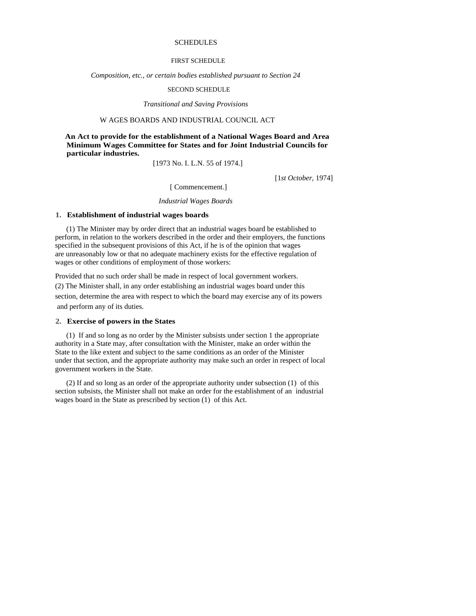## **SCHEDULES**

## FIRST SCHEDULE

*Composition, etc., or certain bodies established pursuant to Section 24* 

#### SECOND SCHEDULE

*Transitional and Saving Provisions* 

## W AGES BOARDS AND INDUSTRIAL COUNCIL ACT

 **An Act to provide for the establishment of a National Wages Board and Area Minimum Wages Committee for States and for Joint Industrial Councils for particular industries.** 

[1973 No. I. L.N. 55 of 1974.]

[1*st October,* 1974]

[ Commencement.]

#### *Industrial Wages Boards*

#### **1. Establishment of industrial wages boards**

(1) The Minister may by order direct that an industrial wages board be established to perform, in relation to the workers described in the order and their employers, the functions specified in the subsequent provisions of this Act, if he is of the opinion that wages are unreasonably low or that no adequate machinery exists for the effective regulation of wages or other conditions of employment of those workers:

Provided that no such order shall be made in respect of local government workers. (2) The Minister shall, in any order establishing an industrial wages board under this section, determine the area with respect to which the board may exercise any of its powers and perform any of its duties.

#### **2. Exercise of powers in the States**

(1) If and so long as no order by the Minister subsists under section 1 the appropriate authority in a State may, after consultation with the Minister, make an order within the State to the like extent and subject to the same conditions as an order of the Minister under that section, and the appropriate authority may make such an order in respect of local government workers in the State.

(2) If and so long as an order of the appropriate authority under subsection (1) of this section subsists, the Minister shall not make an order for the establishment of an industrial wages board in the State as prescribed by section (1) of this Act.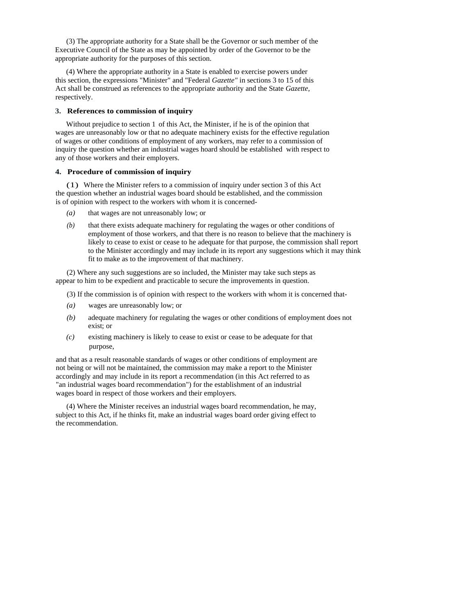(3) The appropriate authority for a State shall be the Governor or such member of the Executive Council of the State as may be appointed by order of the Governor to be the appropriate authority for the purposes of this section.

(4) Where the appropriate authority in a State is enabled to exercise powers under this section, the expressions "Minister" and "Federal *Gazette"* in sections 3 to 15 of this Act shall be construed as references to the appropriate authority and the State *Gazette,*  respectively.

## **3. References to commission of inquiry**

Without prejudice to section 1 of this Act, the Minister, if he is of the opinion that wages are unreasonably low or that no adequate machinery exists for the effective regulation of wages or other conditions of employment of any workers, may refer to a commission of inquiry the question whether an industrial wages hoard should be established with respect to any of those workers and their employers.

### **4. Procedure of commission of inquiry**

(1) Where the Minister refers to a commission of inquiry under section 3 of this Act the question whether an industrial wages board should be established, and the commission is of opinion with respect to the workers with whom it is concerned-

- *(a)* that wages are not unreasonably low; or
- *(b)* that there exists adequate machinery for regulating the wages or other conditions of employment of those workers, and that there is no reason to believe that the machinery is likely to cease to exist or cease to he adequate for that purpose, the commission shall report to the Minister accordingly and may include in its report any suggestions which it may think fit to make as to the improvement of that machinery.

(2) Where any such suggestions are so included, the Minister may take such steps as appear to him to be expedient and practicable to secure the improvements in question.

- (3) If the commission is of opinion with respect to the workers with whom it is concerned that-
- *(a)* wages are unreasonably low; or
- *(b)* adequate machinery for regulating the wages or other conditions of employment does not exist; or
- *(c)* existing machinery is likely to cease to exist or cease to be adequate for that purpose,

and that as a result reasonable standards of wages or other conditions of employment are not being or will not be maintained, the commission may make a report to the Minister accordingly and may include in its report a recommendation (in this Act referred to as "an industrial wages board recommendation") for the establishment of an industrial wages board in respect of those workers and their employers.

(4) Where the Minister receives an industrial wages board recommendation, he may, subject to this Act, if he thinks fit, make an industrial wages board order giving effect to the recommendation.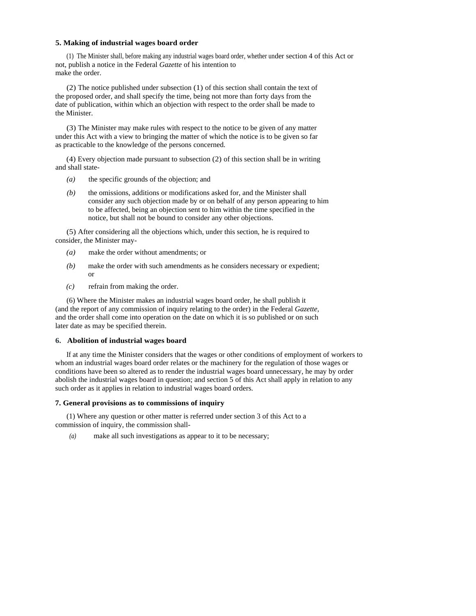### **5. Making of industrial wages board order**

(1) The Minister shall, before making any industrial wages board order, whether under section 4 of this Act or not, publish a notice in the Federal *Gazette* of his intention to make the order.

(2) The notice published under subsection (1) of this section shall contain the text of the proposed order, and shall specify the time, being not more than forty days from the date of publication, within which an objection with respect to the order shall be made to the Minister.

(3) The Minister may make rules with respect to the notice to be given of any matter under this Act with a view to bringing the matter of which the notice is to be given so far as practicable to the knowledge of the persons concerned.

(4) Every objection made pursuant to subsection (2) of this section shall be in writing and shall state-

- *(a)* the specific grounds of the objection; and
- *(b)* the omissions, additions or modifications asked for, and the Minister shall consider any such objection made by or on behalf of any person appearing to him to be affected, being an objection sent to him within the time specified in the notice, but shall not be bound to consider any other objections.

(5) After considering all the objections which, under this section, he is required to consider, the Minister may-

- *(a)* make the order without amendments; or
- *(b)* make the order with such amendments as he considers necessary or expedient; or
- *(c)* refrain from making the order.

(6) Where the Minister makes an industrial wages board order, he shall publish it (and the report of any commission of inquiry relating to the order) in the Federal *Gazette,*  and the order shall come into operation on the date on which it is so published or on such later date as may be specified therein.

## **6. Abolition of industrial wages board**

If at any time the Minister considers that the wages or other conditions of employment of workers to whom an industrial wages board order relates or the machinery for the regulation of those wages or conditions have been so altered as to render the industrial wages board unnecessary, he may by order abolish the industrial wages board in question; and section 5 of this Act shall apply in relation to any such order as it applies in relation to industrial wages board orders.

## **7. General provisions as to commissions of inquiry**

(1) Where any question or other matter is referred under section 3 of this Act to a commission of inquiry, the commission shall-

*(a)* make all such investigations as appear to it to be necessary;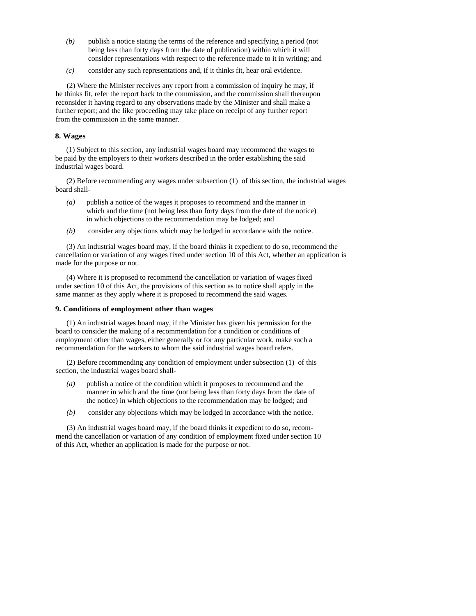- *(b)* publish a notice stating the terms of the reference and specifying a period (not being less than forty days from the date of publication) within which it will consider representations with respect to the reference made to it in writing; and
- *(c)* consider any such representations and, if it thinks fit, hear oral evidence.

(2) Where the Minister receives any report from a commission of inquiry he may, if he thinks fit, refer the report back to the commission, and the commission shall thereupon reconsider it having regard to any observations made by the Minister and shall make a further report; and the like proceeding may take place on receipt of any further report from the commission in the same manner.

## **8. Wages**

(1) Subject to this section, any industrial wages board may recommend the wages to be paid by the employers to their workers described in the order establishing the said industrial wages board.

(2) Before recommending any wages under subsection (1) of this section, the industrial wages board shall-

- *(a)* publish a notice of the wages it proposes to recommend and the manner in which and the time (not being less than forty days from the date of the notice) in which objections to the recommendation may be lodged; and
- *(b)* consider any objections which may be lodged in accordance with the notice.

(3) An industrial wages board may, if the board thinks it expedient to do so, recommend the cancellation or variation of any wages fixed under section 10 of this Act, whether an application is made for the purpose or not.

(4) Where it is proposed to recommend the cancellation or variation of wages fixed under section 10 of this Act, the provisions of this section as to notice shall apply in the same manner as they apply where it is proposed to recommend the said wages.

### **9. Conditions of employment other than wages**

(1) An industrial wages board may, if the Minister has given his permission for the board to consider the making of a recommendation for a condition or conditions of employment other than wages, either generally or for any particular work, make such a recommendation for the workers to whom the said industrial wages board refers.

(2) Before recommending any condition of employment under subsection (1) of this section, the industrial wages board shall-

- *(a)* publish a notice of the condition which it proposes to recommend and the manner in which and the time (not being less than forty days from the date of the notice) in which objections to the recommendation may be lodged; and
- *(b)* consider any objections which may be lodged in accordance with the notice.

(3) An industrial wages board may, if the board thinks it expedient to do so, recommend the cancellation or variation of any condition of employment fixed under section 10 of this Act, whether an application is made for the purpose or not.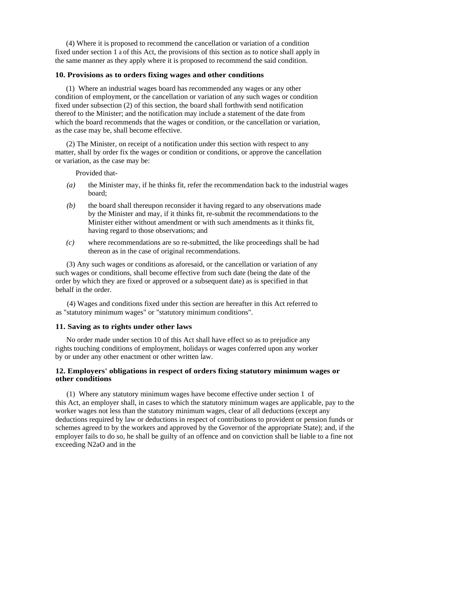(4) Where it is proposed to recommend the cancellation or variation of a condition fixed under section 1 a of this Act, the provisions of this section as to notice shall apply in the same manner as they apply where it is proposed to recommend the said condition.

## **10. Provisions as to orders fixing wages and other conditions**

(1) Where an industrial wages board has recommended any wages or any other condition of employment, or the cancellation or variation of any such wages or condition fixed under subsection (2) of this section, the board shall forthwith send notification thereof to the Minister; and the notification may include a statement of the date from which the board recommends that the wages or condition, or the cancellation or variation, as the case may be, shall become effective.

(2) The Minister, on receipt of a notification under this section with respect to any matter, shall by order fix the wages or condition or conditions, or approve the cancellation or variation, as the case may be:

Provided that-

- *(a)* the Minister may, if he thinks fit, refer the recommendation back to the industrial wages board;
- *(b)* the board shall thereupon reconsider it having regard to any observations made by the Minister and may, if it thinks fit, re-submit the recommendations to the Minister either without amendment or with such amendments as it thinks fit, having regard to those observations; and
- *(c)* where recommendations are so re-submitted, the like proceedings shall be had thereon as in the case of original recommendations.

(3) Any such wages or conditions as aforesaid, or the cancellation or variation of any such wages or conditions, shall become effective from such date (being the date of the order by which they are fixed or approved or a subsequent date) as is specified in that behalf in the order.

(4) Wages and conditions fixed under this section are hereafter in this Act referred to as "statutory minimum wages" or "statutory minimum conditions".

# **11. Saving as to rights under other laws**

No order made under section 10 of this Act shall have effect so as to prejudice any rights touching conditions of employment, holidays or wages conferred upon any worker by or under any other enactment or other written law.

## **12. Employers' obligations in respect of orders fixing statutory minimum wages or other conditions**

(1) Where any statutory minimum wages have become effective under section 1 of this Act, an employer shall, in cases to which the statutory minimum wages are applicable, pay to the worker wages not less than the statutory minimum wages, clear of all deductions (except any deductions required by law or deductions in respect of contributions to provident or pension funds or schemes agreed to by the workers and approved by the Governor of the appropriate State); and, if the employer fails to do so, he shall be guilty of an offence and on conviction shall be liable to a fine not exceeding N2aO and in the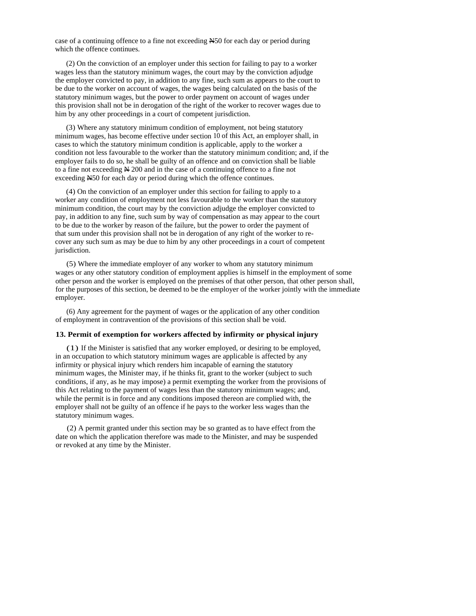case of a continuing offence to a fine not exceeding  $\angle$  450 for each day or period during which the offence continues.

(2) On the conviction of an employer under this section for failing to pay to a worker wages less than the statutory minimum wages, the court may by the conviction adjudge the employer convicted to pay, in addition to any fine, such sum as appears to the court to be due to the worker on account of wages, the wages being calculated on the basis of the statutory minimum wages, but the power to order payment on account of wages under this provision shall not be in derogation of the right of the worker to recover wages due to him by any other proceedings in a court of competent jurisdiction.

(3) Where any statutory minimum condition of employment, not being statutory minimum wages, has become effective under section 10 of this Act, an employer shall, in cases to which the statutory minimum condition is applicable, apply to the worker a condition not less favourable to the worker than the statutory minimum condition; and, if the employer fails to do so, he shall be guilty of an offence and on conviction shall be liable to a fine not exceeding N 200 and in the case of a continuing offence to a fine not exceeding N50 for each day or period during which the offence continues.

(4) On the conviction of an employer under this section for failing to apply to a worker any condition of employment not less favourable to the worker than the statutory minimum condition, the court may by the conviction adjudge the employer convicted to pay, in addition to any fine, such sum by way of compensation as may appear to the court to be due to the worker by reason of the failure, but the power to order the payment of that sum under this provision shall not be in derogation of any right of the worker to recover any such sum as may be due to him by any other proceedings in a court of competent jurisdiction.

(5) Where the immediate employer of any worker to whom any statutory minimum wages or any other statutory condition of employment applies is himself in the employment of some other person and the worker is employed on the premises of that other person, that other person shall, for the purposes of this section, be deemed to be the employer of the worker jointly with the immediate employer.

(6) Any agreement for the payment of wages or the application of any other condition of employment in contravention of the provisions of this section shall be void.

## **13. Permit of exemption for workers affected by infirmity or physical injury**

(1) If the Minister is satisfied that any worker employed, or desiring to be employed, in an occupation to which statutory minimum wages are applicable is affected by any infirmity or physical injury which renders him incapable of earning the statutory minimum wages, the Minister may, if he thinks fit, grant to the worker (subject to such conditions, if any, as he may impose) a permit exempting the worker from the provisions of this Act relating to the payment of wages less than the statutory minimum wages; and, while the permit is in force and any conditions imposed thereon are complied with, the employer shall not be guilty of an offence if he pays to the worker less wages than the statutory minimum wages.

(2) A permit granted under this section may be so granted as to have effect from the date on which the application therefore was made to the Minister, and may be suspended or revoked at any time by the Minister.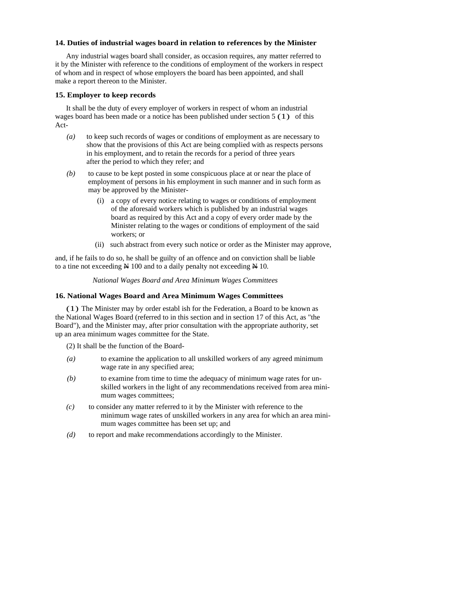## **14. Duties of industrial wages board in relation to references by the Minister**

Any industrial wages board shall consider, as occasion requires, any matter referred to it by the Minister with reference to the conditions of employment of the workers in respect of whom and in respect of whose employers the board has been appointed, and shall make a report thereon to the Minister.

### **15. Employer to keep records**

It shall be the duty of every employer of workers in respect of whom an industrial wages board has been made or a notice has been published under section 5 (1) of this Act-

- *(a)* to keep such records of wages or conditions of employment as are necessary to show that the provisions of this Act are being complied with as respects persons in his employment, and to retain the records for a period of three years after the period to which they refer; and
- *(b)* to cause to be kept posted in some conspicuous place at or near the place of employment of persons in his employment in such manner and in such form as may be approved by the Minister-
	- (i) a copy of every notice relating to wages or conditions of employment of the aforesaid workers which is published by an industrial wages board as required by this Act and a copy of every order made by the Minister relating to the wages or conditions of employment of the said workers; or
	- (ii) such abstract from every such notice or order as the Minister may approve,

and, if he fails to do so, he shall be guilty of an offence and on conviction shall be liable to a tine not exceeding  $\cancel{\text{N}}$  100 and to a daily penalty not exceeding  $\cancel{\text{N}}$  10.

#### *National Wages Board and Area Minimum Wages Committees*

#### **16. National Wages Board and Area Minimum Wages Committees**

(1) The Minister may by order establ ish for the Federation, a Board to be known as the National Wages Board (referred to in this section and in section 17 of this Act, as "the Board"), and the Minister may, after prior consultation with the appropriate authority, set up an area minimum wages committee for the State.

- (2) It shall be the function of the Board-
- *(a)* to examine the application to all unskilled workers of any agreed minimum wage rate in any specified area;
- *(b)* to examine from time to time the adequacy of minimum wage rates for unskilled workers in the light of any recommendations received from area minimum wages committees;
- *(c)* to consider any matter referred to it by the Minister with reference to the minimum wage rates of unskilled workers in any area for which an area minimum wages committee has been set up; and
- *(d)* to report and make recommendations accordingly to the Minister.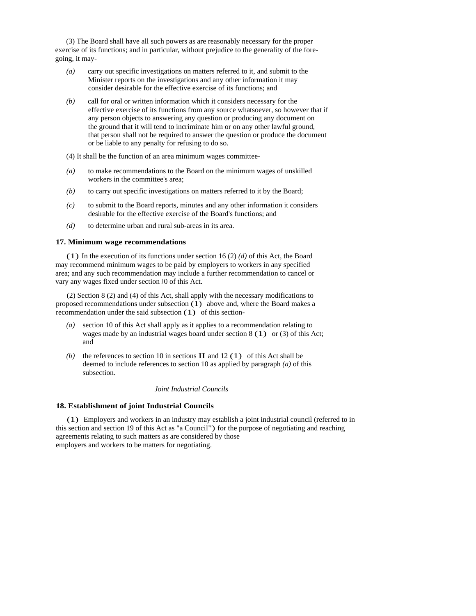(3) The Board shall have all such powers as are reasonably necessary for the proper exercise of its functions; and in particular, without prejudice to the generality of the foregoing, it may-

- *(a)* carry out specific investigations on matters referred to it, and submit to the Minister reports on the investigations and any other information it may consider desirable for the effective exercise of its functions; and
- *(b)* call for oral or written information which it considers necessary for the effective exercise of its functions from any source whatsoever, so however that if any person objects to answering any question or producing any document on the ground that it will tend to incriminate him or on any other lawful ground, that person shall not be required to answer the question or produce the document or be liable to any penalty for refusing to do so.

(4) It shall be the function of an area minimum wages committee-

- *(a)* to make recommendations to the Board on the minimum wages of unskilled workers in the committee's area;
- *(b)* to carry out specific investigations on matters referred to it by the Board;
- *(c)* to submit to the Board reports, minutes and any other information it considers desirable for the effective exercise of the Board's functions; and
- *(d)* to determine urban and rural sub-areas in its area.

#### **17. Minimum wage recommendations**

(1) In the execution of its functions under section 16 (2) *(d)* of this Act, the Board may recommend minimum wages to be paid by employers to workers in any specified area; and any such recommendation may include a further recommendation to cancel or vary any wages fixed under section J0 of this Act.

(2) Section 8 (2) and (4) of this Act, shall apply with the necessary modifications to proposed recommendations under subsection  $(1)$  above and, where the Board makes a recommendation under the said subsection (1) of this section-

- *(a)* section 10 of this Act shall apply as it applies to a recommendation relating to wages made by an industrial wages board under section 8 (1) or (3) of this Act; and
- (b) the references to section 10 in sections  $II$  and 12 (1) of this Act shall be deemed to include references to section 10 as applied by paragraph *(a)* of this subsection.

#### *Joint Industrial Councils*

#### **18. Establishment of joint Industrial Councils**

(1) Employers and workers in an industry may establish a joint industrial council (referred to in this section and section 19 of this Act as "a Council") for the purpose of negotiating and reaching agreements relating to such matters as are considered by those employers and workers to be matters for negotiating.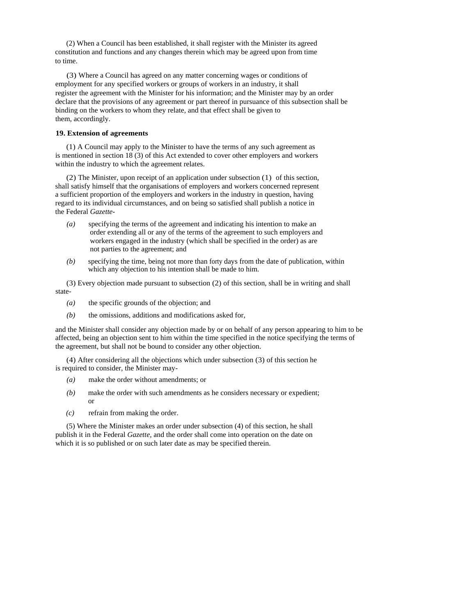(2) When a Council has been established, it shall register with the Minister its agreed constitution and functions and any changes therein which may be agreed upon from time to time.

(3) Where a Council has agreed on any matter concerning wages or conditions of employment for any specified workers or groups of workers in an industry, it shall register the agreement with the Minister for his information; and the Minister may by an order declare that the provisions of any agreement or part thereof in pursuance of this subsection shall be binding on the workers to whom they relate, and that effect shall be given to them, accordingly.

### **19. Extension of agreements**

(1) A Council may apply to the Minister to have the terms of any such agreement as is mentioned in section 18 (3) of this Act extended to cover other employers and workers within the industry to which the agreement relates.

(2) The Minister, upon receipt of an application under subsection (1) of this section, shall satisfy himself that the organisations of employers and workers concerned represent a sufficient proportion of the employers and workers in the industry in question, having regard to its individual circumstances, and on being so satisfied shall publish a notice in the Federal *Gazette-*

- *(a)* specifying the terms of the agreement and indicating his intention to make an order extending all or any of the terms of the agreement to such employers and workers engaged in the industry (which shall be specified in the order) as are not parties to the agreement; and
- *(b)* specifying the time, being not more than forty days from the date of publication, within which any objection to his intention shall be made to him.

(3) Every objection made pursuant to subsection (2) of this section, shall be in writing and shall state-

- *(a)* the specific grounds of the objection; and
- *(b)* the omissions, additions and modifications asked for,

and the Minister shall consider any objection made by or on behalf of any person appearing to him to be affected, being an objection sent to him within the time specified in the notice specifying the terms of the agreement, but shall not be bound to consider any other objection.

(4) After considering all the objections which under subsection (3) of this section he is required to consider, the Minister may-

- *(a)* make the order without amendments; or
- *(b)* make the order with such amendments as he considers necessary or expedient; or
- *(c)* refrain from making the order.

(5) Where the Minister makes an order under subsection (4) of this section, he shall publish it in the Federal *Gazette,* and the order shall come into operation on the date on which it is so published or on such later date as may be specified therein.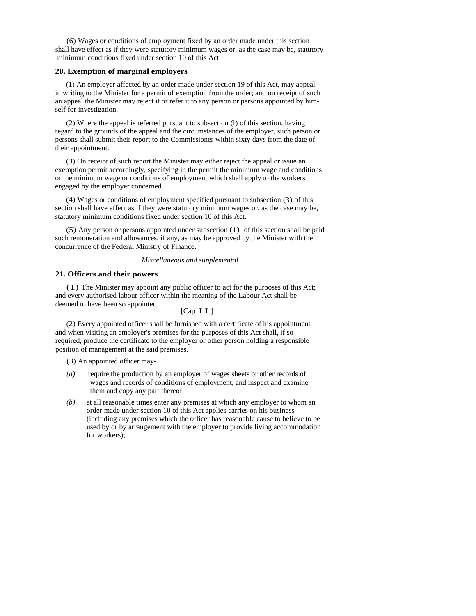(6) Wages or conditions of employment fixed by an order made under this section shall have effect as if they were statutory minimum wages or, as the case may be, statutory minimum conditions fixed under section 10 of this Act.

#### **20. Exemption of marginal employers**

(1) An employer affected by an order made under section 19 of this Act, may appeal in writing to the Minister for a permit of exemption from the order; and on receipt of such an appeal the Minister may reject it or refer it to any person or persons appointed by himself for investigation.

(2) Where the appeal is referred pursuant to subsection (l) of this section, having regard to the grounds of the appeal and the circumstances of the employer, such person or persons shall submit their report to the Commissioner within sixty days from the date of their appointment.

(3) On receipt of such report the Minister may either reject the appeal or issue an exemption permit accordingly, specifying in the permit the minimum wage and conditions or the minimum wage or conditions of employment which shall apply to the workers engaged by the employer concerned.

(4) Wages or conditions of employment specified pursuant to subsection (3) of this section shall have effect as if they were statutory minimum wages or, as the case may be, statutory minimum conditions fixed under section 10 of this Act.

(5) Any person or persons appointed under subsection (1) of this section shall be paid such remuneration and allowances, if any, as may be approved by the Minister with the concurrence of the Federal Ministry of Finance.

#### *Miscellaneous and supplemental*

### **21. Officers and their powers**

(1) The Minister may appoint any public officer to act for the purposes of this Act; and every authorised labour officer within the meaning of the Labour Act shall be deemed to have been so appointed.

# [Cap. LI.]

(2) Every appointed officer shall be furnished with a certificate of his appointment and when visiting an employer's premises for the purposes of this Act shall, if so required, produce the certificate to the employer or other person holding a responsible position of management at the said premises.

(3) An appointed officer may-

- *(a)* require the production by an employer of wages sheets or other records of wages and records of conditions of employment, and inspect and examine them and copy any part thereof;
- *(b)* at all reasonable times enter any premises at which any employer to whom an order made under section 10 of this Act applies carries on his business (including any premises which the officer has reasonable cause to believe to be used by or by arrangement with the employer to provide living accommodation for workers);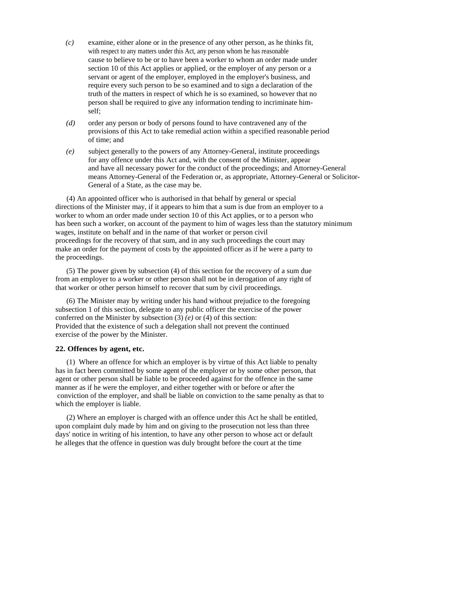- *(c)* examine, either alone or in the presence of any other person, as he thinks fit, with respect to any matters under this Act, any person whom he has reasonable cause to believe to be or to have been a worker to whom an order made under section 10 of this Act applies or applied, or the employer of any person or a servant or agent of the employer, employed in the employer's business, and require every such person to be so examined and to sign a declaration of the truth of the matters in respect of which he is so examined, so however that no person shall be required to give any information tending to incriminate himself;
- *(d)* order any person or body of persons found to have contravened any of the provisions of this Act to take remedial action within a specified reasonable period of time; and
- *(e)* subject generally to the powers of any Attorney-General, institute proceedings for any offence under this Act and, with the consent of the Minister, appear and have all necessary power for the conduct of the proceedings; and Attorney-General means Attorney-General of the Federation or, as appropriate, Attorney-General or Solicitor-General of a State, as the case may be.

(4) An appointed officer who is authorised in that behalf by general or special directions of the Minister may, if it appears to him that a sum is due from an employer to a worker to whom an order made under section 10 of this Act applies, or to a person who has been such a worker, on account of the payment to him of wages less than the statutory minimum wages, institute on behalf and in the name of that worker or person civil proceedings for the recovery of that sum, and in any such proceedings the court may make an order for the payment of costs by the appointed officer as if he were a party to the proceedings.

(5) The power given by subsection (4) of this section for the recovery of a sum due from an employer to a worker or other person shall not be in derogation of any right of that worker or other person himself to recover that sum by civil proceedings.

(6) The Minister may by writing under his hand without prejudice to the foregoing subsection 1 of this section, delegate to any public officer the exercise of the power conferred on the Minister by subsection (3) *(e)* or (4) of this section: Provided that the existence of such a delegation shall not prevent the continued exercise of the power by the Minister.

#### **22. Offences by agent, etc.**

(1) Where an offence for which an employer is by virtue of this Act liable to penalty has in fact been committed by some agent of the employer or by some other person, that agent or other person shall be liable to be proceeded against for the offence in the same manner as if he were the employer, and either together with or before or after the conviction of the employer, and shall be liable on conviction to the same penalty as that to which the employer is liable.

(2) Where an employer is charged with an offence under this Act he shall be entitled, upon complaint duly made by him and on giving to the prosecution not less than three days' notice in writing of his intention, to have any other person to whose act or default he alleges that the offence in question was duly brought before the court at the time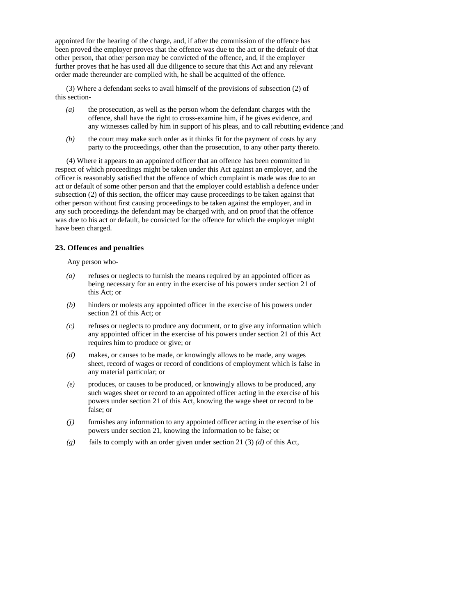appointed for the hearing of the charge, and, if after the commission of the offence has been proved the employer proves that the offence was due to the act or the default of that other person, that other person may be convicted of the offence, and, if the employer further proves that he has used all due diligence to secure that this Act and any relevant order made thereunder are complied with, he shall be acquitted of the offence.

(3) Where a defendant seeks to avail himself of the provisions of subsection (2) of this section-

- *(a)* the prosecution, as well as the person whom the defendant charges with the offence, shall have the right to cross-examine him, if he gives evidence, and any witnesses called by him in support of his pleas, and to call rebutting evidence ;and
- *(b)* the court may make such order as it thinks fit for the payment of costs by any party to the proceedings, other than the prosecution, to any other party thereto.

(4) Where it appears to an appointed officer that an offence has been committed in respect of which proceedings might be taken under this Act against an employer, and the officer is reasonably satisfied that the offence of which complaint is made was due to an act or default of some other person and that the employer could establish a defence under subsection (2) of this section, the officer may cause proceedings to be taken against that other person without first causing proceedings to be taken against the employer, and in any such proceedings the defendant may be charged with, and on proof that the offence was due to his act or default, be convicted for the offence for which the employer might have been charged.

## **23. Offences and penalties**

Any person who-

- *(a)* refuses or neglects to furnish the means required by an appointed officer as being necessary for an entry in the exercise of his powers under section 21 of this Act; or
- *(b)* hinders or molests any appointed officer in the exercise of his powers under section 21 of this Act; or
- *(c)* refuses or neglects to produce any document, or to give any information which any appointed officer in the exercise of his powers under section 21 of this Act requires him to produce or give; or
- *(d)* makes, or causes to be made, or knowingly allows to be made, any wages sheet, record of wages or record of conditions of employment which is false in any material particular; or
- *(e)* produces, or causes to be produced, or knowingly allows to be produced, any such wages sheet or record to an appointed officer acting in the exercise of his powers under section 21 of this Act, knowing the wage sheet or record to be false; or
- *(j)* furnishes any information to any appointed officer acting in the exercise of his powers under section 21, knowing the information to be false; or
- *(g)* fails to comply with an order given under section 21 (3) *(d)* of this Act,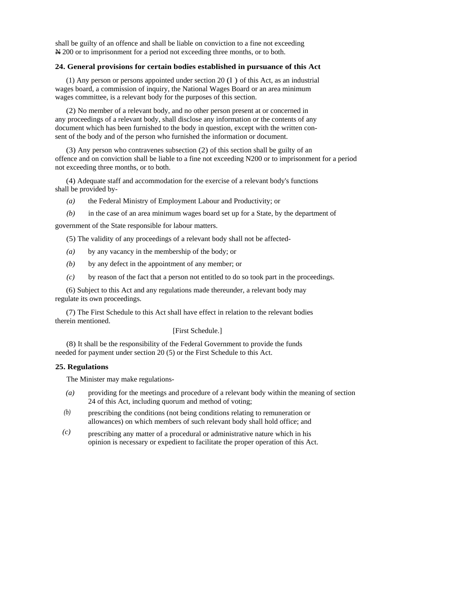shall be guilty of an offence and shall be liable on conviction to a fine not exceeding N 200 or to imprisonment for a period not exceeding three months, or to both.

## **24. General provisions for certain bodies established in pursuance of this Act**

(1) Any person or persons appointed under section 20 (l ) of this Act, as an industrial wages board, a commission of inquiry, the National Wages Board or an area minimum wages committee, is a relevant body for the purposes of this section.

(2) No member of a relevant body, and no other person present at or concerned in any proceedings of a relevant body, shall disclose any information or the contents of any document which has been furnished to the body in question, except with the written consent of the body and of the person who furnished the information or document.

(3) Any person who contravenes subsection (2) of this section shall be guilty of an offence and on conviction shall be liable to a fine not exceeding N200 or to imprisonment for a period not exceeding three months, or to both.

(4) Adequate staff and accommodation for the exercise of a relevant body's functions shall be provided by-

- *(a)* the Federal Ministry of Employment Labour and Productivity; or
- *(b)* in the case of an area minimum wages board set up for a State, by the department of

government of the State responsible for labour matters.

(5) The validity of any proceedings of a relevant body shall not be affected-

- *(a)* by any vacancy in the membership of the body; or
- *(b)* by any defect in the appointment of any member; or
- *(c)* by reason of the fact that a person not entitled to do so took part in the proceedings.

(6) Subject to this Act and any regulations made thereunder, a relevant body may regulate its own proceedings.

(7) The First Schedule to this Act shall have effect in relation to the relevant bodies therein mentioned.

## [First Schedule.]

(8) It shall be the responsibility of the Federal Government to provide the funds needed for payment under section 20 (5) or the First Schedule to this Act.

#### **25. Regulations**

The Minister may make regulations-

- *(a)* providing for the meetings and procedure of a relevant body within the meaning of section 24 of this Act, including quorum and method of voting;
- *(b)*  prescribing the conditions (not being conditions relating to remuneration or allowances) on which members of such relevant body shall hold office; and
- *(c)*  prescribing any matter of a procedural or administrative nature which in his opinion is necessary or expedient to facilitate the proper operation of this Act.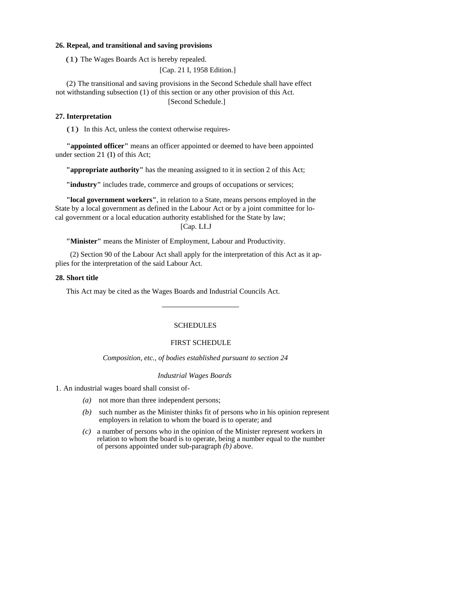#### **26. Repeal, and transitional and saving provisions**

(1) The Wages Boards Act is hereby repealed.

[Cap. 21 I, 1958 Edition.]

(2) The transitional and saving provisions in the Second Schedule shall have effect not withstanding subsection (1) of this section or any other provision of this Act. [Second Schedule.]

#### **27. Interpretation**

(1) In this Act, unless the context otherwise requires-

**"appointed officer"** means an officer appointed or deemed to have been appointed under section 21 (I) of this Act;

**"appropriate authority"** has the meaning assigned to it in section 2 of this Act;

**"industry"** includes trade, commerce and groups of occupations or services;

**"local government workers"**, in relation to a State, means persons employed in the State by a local government as defined in the Labour Act or by a joint committee for local government or a local education authority established for the State by law; [Cap. LI.J

**"Minister"** means the Minister of Employment, Labour and Productivity.

 (2) Section 90 of the Labour Act shall apply for the interpretation of this Act as it applies for the interpretation of the said Labour Act.

#### **28. Short title**

This Act may be cited as the Wages Boards and Industrial Councils Act.

# SCHEDULES

#### FIRST SCHEDULE

*Composition, etc., of bodies established pursuant to section 24* 

#### *Industrial Wages Boards*

1. An industrial wages board shall consist of-

- *(a)* not more than three independent persons;
- *(b)* such number as the Minister thinks fit of persons who in his opinion represent employers in relation to whom the board is to operate; and
- *(c)* a number of persons who in the opinion of the Minister represent workers in relation to whom the board is to operate, being a number equal to the number of persons appointed under sub-paragraph *(b)* above.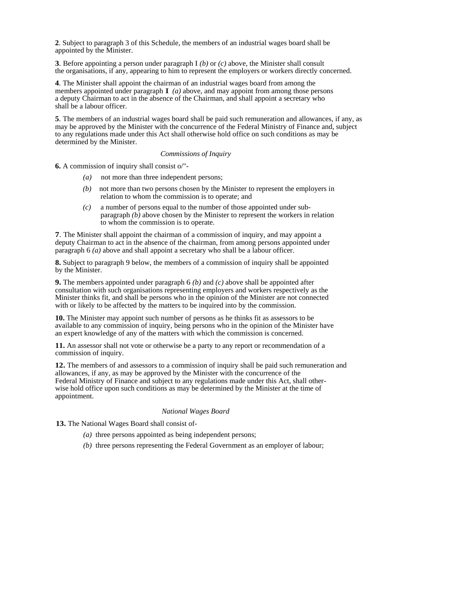**2**. Subject to paragraph 3 of this Schedule, the members of an industrial wages board shall be appointed by the Minister.

**3**. Before appointing a person under paragraph I *(b)* or *(c)* above, the Minister shall consult the organisations, if any, appearing to him to represent the employers or workers directly concerned.

**4**. The Minister shall appoint the chairman of an industrial wages board from among the members appointed under paragraph **I** (*a*) above, and may appoint from among those persons a deputy Chairman to act in the absence of the Chairman, and shall appoint a secretary who shall be a labour officer.

**5**. The members of an industrial wages board shall be paid such remuneration and allowances, if any, as may be approved by the Minister with the concurrence of the Federal Ministry of Finance and, subject to any regulations made under this Act shall otherwise hold office on such conditions as may be determined by the Minister.

## *Commissions of Inquiry*

**6.** A commission of inquiry shall consist o/"-

- *(a)* not more than three independent persons;
- *(b)* not more than two persons chosen by the Minister to represent the employers in relation to whom the commission is to operate; and
- *(c)* a number of persons equal to the number of those appointed under subparagraph  $(b)$  above chosen by the Minister to represent the workers in relation to whom the commission is to operate.

**7**. The Minister shall appoint the chairman of a commission of inquiry, and may appoint a deputy Chairman to act in the absence of the chairman, from among persons appointed under paragraph 6 *(a)* above and shall appoint a secretary who shall be a labour officer.

**8.** Subject to paragraph 9 below, the members of a commission of inquiry shall be appointed by the Minister.

**9.** The members appointed under paragraph 6 *(b)* and *(c)* above shall be appointed after consultation with such organisations representing employers and workers respectively as the Minister thinks fit, and shall be persons who in the opinion of the Minister are not connected with or likely to be affected by the matters to be inquired into by the commission.

**10.** The Minister may appoint such number of persons as he thinks fit as assessors to be available to any commission of inquiry, being persons who in the opinion of the Minister have an expert knowledge of any of the matters with which the commission is concerned.

**11.** An assessor shall not vote or otherwise be a party to any report or recommendation of a commission of inquiry.

**12.** The members of and assessors to a commission of inquiry shall be paid such remuneration and allowances, if any, as may be approved by the Minister with the concurrence of the Federal Ministry of Finance and subject to any regulations made under this Act, shall otherwise hold office upon such conditions as may be determined by the Minister at the time of appointment.

### *National Wages Board*

**13.** The National Wages Board shall consist of-

- *(a)* three persons appointed as being independent persons;
- *(b)* three persons representing the Federal Government as an employer of labour;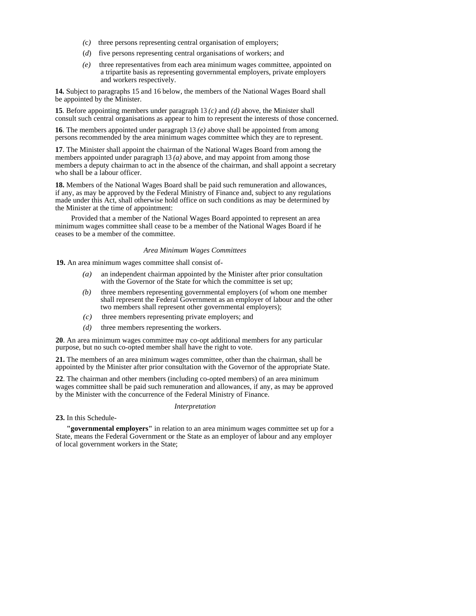- *(*c*)* three persons representing central organisation of employers;
- (*d*) five persons representing central organisations of workers; and
- *(e)* three representatives from each area minimum wages committee, appointed on a tripartite basis as representing governmental employers, private employers and workers respectively.

**14.** Subject to paragraphs 15 and 16 below, the members of the National Wages Board shall be appointed by the Minister.

**15**. Before appointing members under paragraph 13 *(c)* and *(d)* above, the Minister shall consult such central organisations as appear to him to represent the interests of those concerned.

**16**. The members appointed under paragraph 13 *(e)* above shall be appointed from among persons recommended by the area minimum wages committee which they are to represent.

**17**. The Minister shall appoint the chairman of the National Wages Board from among the members appointed under paragraph 13 *(a)* above, and may appoint from among those members a deputy chairman to act in the absence of the chairman, and shall appoint a secretary who shall be a labour officer.

**18.** Members of the National Wages Board shall be paid such remuneration and allowances, if any, as may be approved by the Federal Ministry of Finance and, subject to any regulations made under this Act, shall otherwise hold office on such conditions as may be determined by the Minister at the time of appointment:

Provided that a member of the National Wages Board appointed to represent an area minimum wages committee shall cease to be a member of the National Wages Board if he ceases to be a member of the committee.

#### *Area Minimum Wages Committees*

**19.** An area minimum wages committee shall consist of-

- *(a)* an independent chairman appointed by the Minister after prior consultation with the Governor of the State for which the committee is set up;
- *(b)* three members representing governmental employers (of whom one member shall represent the Federal Government as an employer of labour and the other two members shall represent other governmental employers);
- *(c)* three members representing private employers; and
- *(d)* three members representing the workers.

**20**. An area minimum wages committee may co-opt additional members for any particular purpose, but no such co-opted member shall have the right to vote.

**21.** The members of an area minimum wages committee, other than the chairman, shall be appointed by the Minister after prior consultation with the Governor of the appropriate State.

**22**. The chairman and other members (including co-opted members) of an area minimum wages committee shall be paid such remuneration and allowances, if any, as may be approved by the Minister with the concurrence of the Federal Ministry of Finance.

#### *Interpretation*

**23.** In this Schedule-

**"governmental employers"** in relation to an area minimum wages committee set up for a State, means the Federal Government or the State as an employer of labour and any employer of local government workers in the State;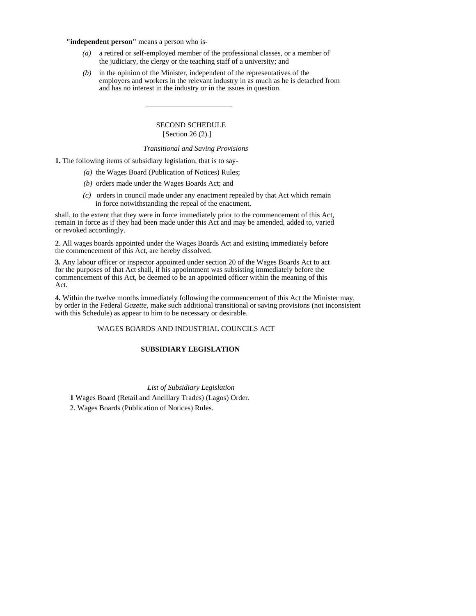**"independent person"** means a person who is-

- *(a)* a retired or self-employed member of the professional classes, or a member of the judiciary, the clergy or the teaching staff of a university; and
- *(b)* in the opinion of the Minister, independent of the representatives of the employers and workers in the relevant industry in as much as he is detached from and has no interest in the industry or in the issues in question.

## SECOND SCHEDULE [Section 26 (2).]

## *Transitional and Saving Provisions*

**1.** The following items of subsidiary legislation, that is to say-

- *(a)* the Wages Board (Publication of Notices) Rules;
- *(b)* orders made under the Wages Boards Act; and
- *(c)* orders in council made under any enactment repealed by that Act which remain in force notwithstanding the repeal of the enactment,

shall, to the extent that they were in force immediately prior to the commencement of this Act, remain in force as if they had been made under this Act and may be amended, added to, varied or revoked accordingly.

**2**. All wages boards appointed under the Wages Boards Act and existing immediately before the commencement of this Act, are hereby dissolved.

**3.** Any labour officer or inspector appointed under section 20 of the Wages Boards Act to act for the purposes of that Act shall, if his appointment was subsisting immediately before the commencement of this Act, be deemed to be an appointed officer within the meaning of this Act.

**4.** Within the twelve months immediately following the commencement of this Act the Minister may, by order in the Federal *Gazette,* make such additional transitional or saving provisions (not inconsistent with this Schedule) as appear to him to be necessary or desirable.

### WAGES BOARDS AND INDUSTRIAL COUNCILS ACT

#### **SUBSIDIARY LEGISLATION**

## *List of Subsidiary Legislation*

**1** Wages Board (Retail and Ancillary Trades) (Lagos) Order.

2. Wages Boards (Publication of Notices) Rules.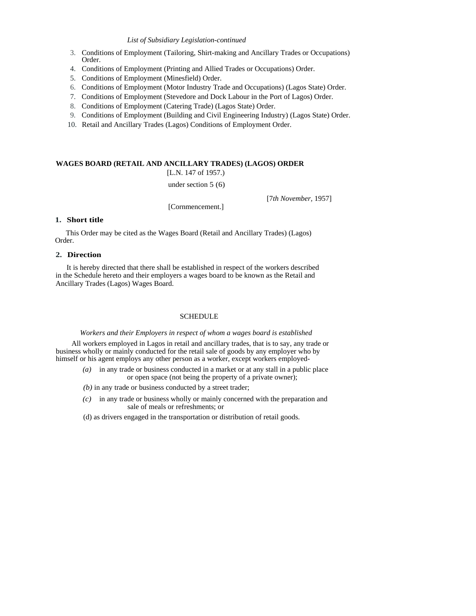### *List of Subsidiary Legislation-continued*

- 3. Conditions of Employment (Tailoring, Shirt-making and Ancillary Trades or Occupations) Order.
- 4. Conditions of Employment (Printing and Allied Trades or Occupations) Order.
- 5. Conditions of Employment (Minesfield) Order.
- 6. Conditions of Employment (Motor Industry Trade and Occupations) (Lagos State) Order.
- 7. Conditions of Employment (Stevedore and Dock Labour in the Port of Lagos) Order.
- 8. Conditions of Employment (Catering Trade) (Lagos State) Order.
- 9. Conditions of Employment (Building and Civil Engineering Industry) (Lagos State) Order.
- 10. Retail and Ancillary Trades (Lagos) Conditions of Employment Order.

# **WAGES BOARD (RETAIL AND ANCILLARY TRADES) (LAGOS) ORDER**

[L.N. 147 of 1957.)

under section 5 (6)

[Cornmencement.]

[7*th November,* 1957]

## **1. Short title**

This Order may be cited as the Wages Board (Retail and Ancillary Trades) (Lagos) Order.

## **2. Direction**

It is hereby directed that there shall be established in respect of the workers described in the Schedule hereto and their employers a wages board to be known as the Retail and Ancillary Trades (Lagos) Wages Board.

### SCHEDULE

*Workers and their Employers in respect of whom a wages board is established* 

All workers employed in Lagos in retail and ancillary trades, that is to say, any trade or business wholly or mainly conducted for the retail sale of goods by any employer who by himself or his agent employs any other person as a worker, except workers employed-

- *(a)* in any trade or business conducted in a market or at any stall in a public place or open space (not being the property of a private owner);
- *(b)* in any trade or business conducted by a street trader;
- *(c)* in any trade or business wholly or mainly concerned with the preparation and sale of meals or refreshments; or
- (d) as drivers engaged in the transportation or distribution of retail goods.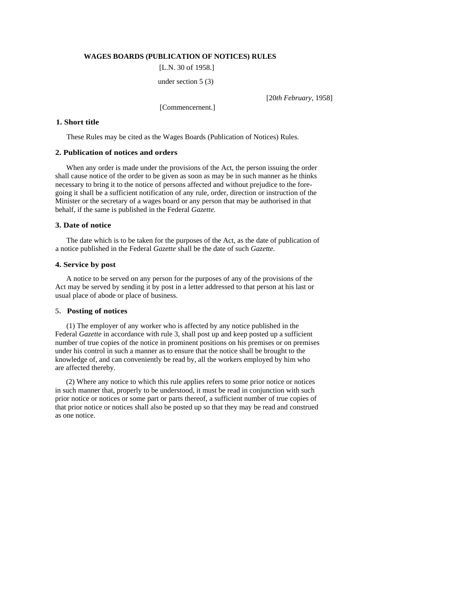## **WAGES BOARDS (PUBLICATION OF NOTICES) RULES**

[L.N. 30 of 1958.]

under section 5 (3)

[20*th February,* 1958]

[Commencernent.]

## **1. Short title**

These Rules may be cited as the Wages Boards (Publication of Notices) Rules.

### **2. Publication of notices and orders**

When any order is made under the provisions of the Act, the person issuing the order shall cause notice of the order to be given as soon as may be in such manner as he thinks necessary to bring it to the notice of persons affected and without prejudice to the foregoing it shall be a sufficient notification of any rule, order, direction or instruction of the Minister or the secretary of a wages board or any person that may be authorised in that behalf, if the same is published in the Federal *Gazette.* 

#### **3. Date of notice**

The date which is to be taken for the purposes of the Act, as the date of publication of a notice published in the Federal *Gazette* shall be the date of such *Gazette.* 

#### **4. Service by post**

A notice to be served on any person for the purposes of any of the provisions of the Act may be served by sending it by post in a letter addressed to that person at his last or usual place of abode or place of business.

#### **5. Posting of notices**

(1) The employer of any worker who is affected by any notice published in the Federal *Gazette* in accordance with rule 3, shall post up and keep posted up a sufficient number of true copies of the notice in prominent positions on his premises or on premises under his control in such a manner as to ensure that the notice shall be brought to the knowledge of, and can conveniently be read by, all the workers employed by him who are affected thereby.

(2) Where any notice to which this rule applies refers to some prior notice or notices in such manner that, properly to be understood, it must be read in conjunction with such prior notice or notices or some part or parts thereof, a sufficient number of true copies of that prior notice or notices shall also be posted up so that they may be read and construed as one notice.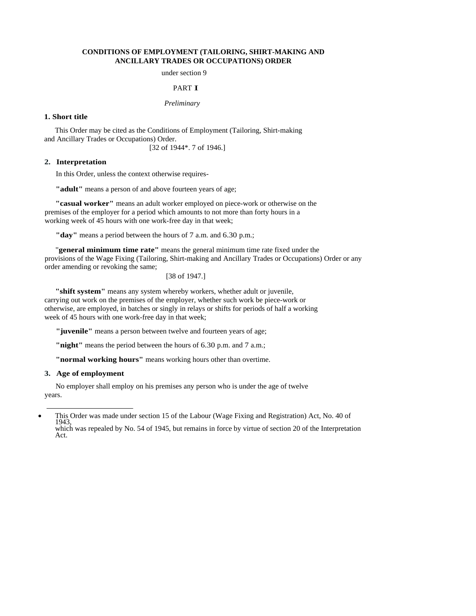## **CONDITIONS OF EMPLOYMENT (TAILORING, SHIRT-MAKING AND ANCILLARY TRADES OR OCCUPATIONS) ORDER**

under section 9

### PART **T**

*Preliminary* 

### **1. Short title**

This Order may be cited as the Conditions of Employment (Tailoring, Shirt-making and Ancillary Trades or Occupations) Order.

[32 of 1944\*. 7 of 1946.]

#### **2. Interpretation**

In this Order, unless the context otherwise requires-

**"adult"** means a person of and above fourteen years of age;

**"casual worker"** means an adult worker employed on piece-work or otherwise on the premises of the employer for a period which amounts to not more than forty hours in a working week of 45 hours with one work-free day in that week;

**"day"** means a period between the hours of 7 a.m. and 6.30 p.m.;

"**general minimum time rate"** means the general minimum time rate fixed under the provisions of the Wage Fixing (Tailoring, Shirt-making and Ancillary Trades or Occupations) Order or any order amending or revoking the same;

[38 of 1947.]

**"shift system"** means any system whereby workers, whether adult or juvenile, carrying out work on the premises of the employer, whether such work be piece-work or otherwise, are employed, in batches or singly in relays or shifts for periods of half a working week of 45 hours with one work-free day in that week;

**"juvenile"** means a person between twelve and fourteen years of age;

**"night"** means the period between the hours of 6.30 p.m. and 7 a.m.;

**"normal working hours"** means working hours other than overtime.

## **3. Age of employment**

No employer shall employ on his premises any person who is under the age of twelve years.

<sup>•</sup> This Order was made under section 15 of the Labour (Wage Fixing and Registration) Act, No. 40 of 1943, which was repealed by No. 54 of 1945, but remains in force by virtue of section 20 of the Interpretation Act.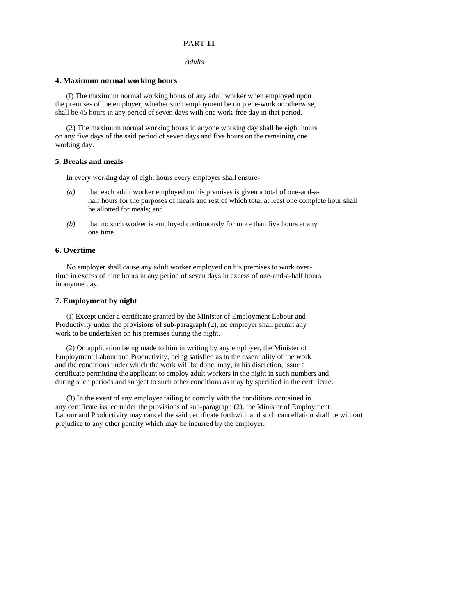#### PART II

#### *Adults*

### **4. Maximum normal working hours**

(I) The maximum normal working hours of any adult worker when employed upon the premises of the employer, whether such employment be on piece-work or otherwise, shall be 45 hours in any period of seven days with one work-free day in that period.

(2) The maximum normal working hours in anyone working day shall be eight hours on any five days of the said period of seven days and five hours on the remaining one working day.

#### **5. Breaks and meals**

In every working day of eight hours every employer shall ensure-

- *(a)* that each adult worker employed on his premises is given a total of one-and-ahalf hours for the purposes of meals and rest of which total at least one complete hour shall be allotted for meals; and
- *(b)* that no such worker is employed continuously for more than five hours at any one time.

#### **6. Overtime**

No employer shall cause any adult worker employed on his premises to work overtime in excess of nine hours in any period of seven days in excess of one-and-a-half hours in anyone day.

## **7. Employment by night**

(I) Except under a certificate granted by the Minister of Employment Labour and Productivity under the provisions of sub-paragraph (2), no employer shall permit any work to be undertaken on his premises during the night.

(2) On application being made to him in writing by any employer, the Minister of Employment Labour and Productivity, being satisfied as to the essentiality of the work and the conditions under which the work will be done, may, in his discretion, issue a certificate permitting the applicant to employ adult workers in the night in such numbers and during such periods and subject to such other conditions as may by specified in the certificate.

(3) In the event of any employer failing to comply with the conditions contained in any certificate issued under the provisions of sub-paragraph (2), the Minister of Employment Labour and Productivity may cancel the said certificate forthwith and such cancellation shall be without prejudice to any other penalty which may be incurred by the employer.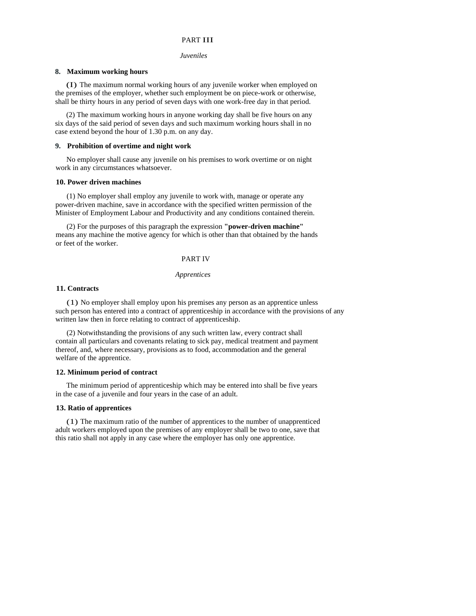## PART III

#### *Juveniles*

#### **8. Maximum working hours**

(I) The maximum normal working hours of any juvenile worker when employed on the premises of the employer, whether such employment be on piece-work or otherwise, shall be thirty hours in any period of seven days with one work-free day in that period.

(2) The maximum working hours in anyone working day shall be five hours on any six days of the said period of seven days and such maximum working hours shall in no case extend beyond the hour of 1.30 p.m. on any day.

## **9. Prohibition of overtime and night work**

No employer shall cause any juvenile on his premises to work overtime or on night work in any circumstances whatsoever.

#### **10. Power driven machines**

(1) No employer shall employ any juvenile to work with, manage or operate any power-driven machine, save in accordance with the specified written permission of the Minister of Employment Labour and Productivity and any conditions contained therein.

(2) For the purposes of this paragraph the expression **"power-driven machine"** means any machine the motive agency for which is other than that obtained by the hands or feet of the worker.

#### PART IV

#### *Apprentices*

## **11. Contracts**

(1) No employer shall employ upon his premises any person as an apprentice unless such person has entered into a contract of apprenticeship in accordance with the provisions of any written law then in force relating to contract of apprenticeship.

(2) Notwithstanding the provisions of any such written law, every contract shall contain all particulars and covenants relating to sick pay, medical treatment and payment thereof, and, where necessary, provisions as to food, accommodation and the general welfare of the apprentice.

#### **12. Minimum period of contract**

The minimum period of apprenticeship which may be entered into shall be five years in the case of a juvenile and four years in the case of an adult.

## **13. Ratio of apprentices**

(1) The maximum ratio of the number of apprentices to the number of unapprenticed adult workers employed upon the premises of any employer shall be two to one, save that this ratio shall not apply in any case where the employer has only one apprentice.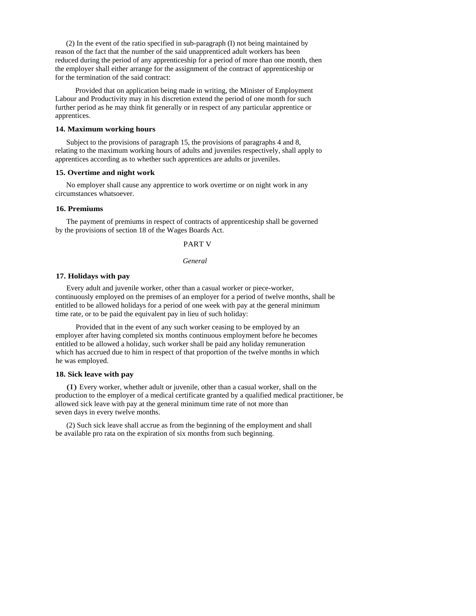(2) In the event of the ratio specified in sub-paragraph (I) not being maintained by reason of the fact that the number of the said unapprenticed adult workers has been reduced during the period of any apprenticeship for a period of more than one month, then the employer shall either arrange for the assignment of the contract of apprenticeship or for the termination of the said contract:

Provided that on application being made in writing, the Minister of Employment Labour and Productivity may in his discretion extend the period of one month for such further period as he may think fit generally or in respect of any particular apprentice or apprentices.

#### **14. Maximum working hours**

Subject to the provisions of paragraph 15, the provisions of paragraphs 4 and 8, relating to the maximum working hours of adults and juveniles respectively, shall apply to apprentices according as to whether such apprentices are adults or juveniles.

### **15. Overtime and night work**

No employer shall cause any apprentice to work overtime or on night work in any circumstances whatsoever.

#### **16. Premiums**

The payment of premiums in respect of contracts of apprenticeship shall be governed by the provisions of section 18 of the Wages Boards Act.

#### PART V

### *General*

## **17. Holidays with pay**

Every adult and juvenile worker, other than a casual worker or piece-worker, continuously employed on the premises of an employer for a period of twelve months, shall be entitled to be allowed holidays for a period of one week with pay at the general minimum time rate, or to be paid the equivalent pay in lieu of such holiday:

Provided that in the event of any such worker ceasing to be employed by an employer after having completed six months continuous employment before he becomes entitled to be allowed a holiday, such worker shall be paid any holiday remuneration which has accrued due to him in respect of that proportion of the twelve months in which he was employed.

## **18. Sick leave with pay**

(I) Every worker, whether adult or juvenile, other than a casual worker, shall on the production to the employer of a medical certificate granted by a qualified medical practitioner, be allowed sick leave with pay at the general minimum time rate of not more than seven days in every twelve months.

(2) Such sick leave shall accrue as from the beginning of the employment and shall be available pro rata on the expiration of six months from such beginning.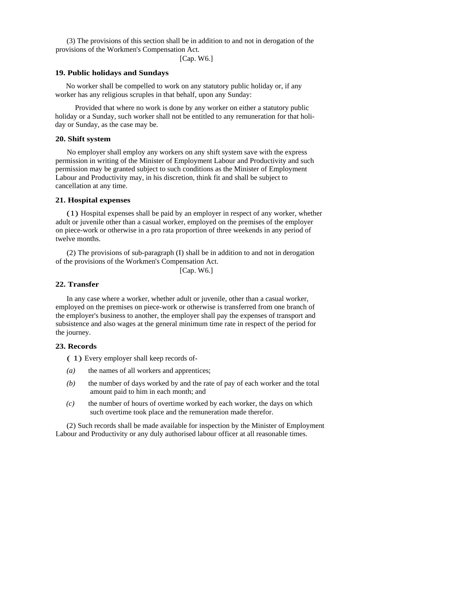(3) The provisions of this section shall be in addition to and not in derogation of the provisions of the Workmen's Compensation Act.

[Cap. W6.]

# **19. Public holidays and Sundays**

No worker shall be compelled to work on any statutory public holiday or, if any worker has any religious scruples in that behalf, upon any Sunday:

Provided that where no work is done by any worker on either a statutory public holiday or a Sunday, such worker shall not be entitled to any remuneration for that holiday or Sunday, as the case may be.

## **20. Shift system**

No employer shall employ any workers on any shift system save with the express permission in writing of the Minister of Employment Labour and Productivity and such permission may be granted subject to such conditions as the Minister of Employment Labour and Productivity may, in his discretion, think fit and shall be subject to cancellation at any time.

#### **21. Hospital expenses**

(1) Hospital expenses shall be paid by an employer in respect of any worker, whether adult or juvenile other than a casual worker, employed on the premises of the employer on piece-work or otherwise in a pro rata proportion of three weekends in any period of twelve months.

(2) The provisions of sub-paragraph (I) shall be in addition to and not in derogation of the provisions of the Workmen's Compensation Act.

## [Cap. W6.]

# **22. Transfer**

In any case where a worker, whether adult or juvenile, other than a casual worker, employed on the premises on piece-work or otherwise is transferred from one branch of the employer's business to another, the employer shall pay the expenses of transport and subsistence and also wages at the general minimum time rate in respect of the period for the journey.

#### **23. Records**

( 1) Every employer shall keep records of-

- *(a)* the names of all workers and apprentices;
- *(b)* the number of days worked by and the rate of pay of each worker and the total amount paid to him in each month; and
- *(c)* the number of hours of overtime worked by each worker, the days on which such overtime took place and the remuneration made therefor.

(2) Such records shall be made available for inspection by the Minister of Employment Labour and Productivity or any duly authorised labour officer at all reasonable times.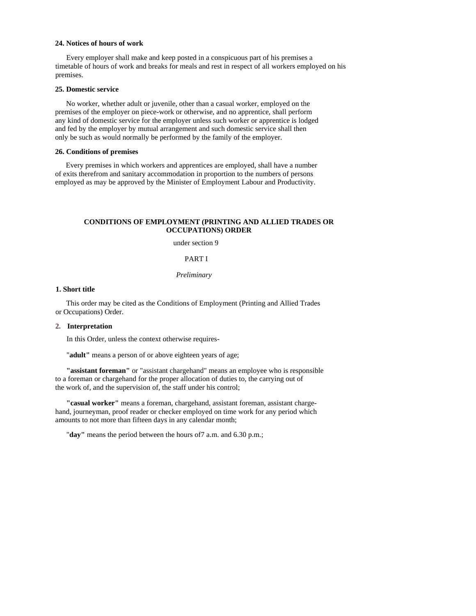## **24. Notices of hours of work**

Every employer shall make and keep posted in a conspicuous part of his premises a timetable of hours of work and breaks for meals and rest in respect of all workers employed on his premises.

## **25. Domestic service**

No worker, whether adult or juvenile, other than a casual worker, employed on the premises of the employer on piece-work or otherwise, and no apprentice, shall perform any kind of domestic service for the employer unless such worker or apprentice is lodged and fed by the employer by mutual arrangement and such domestic service shall then only be such as would normally be performed by the family of the employer.

### **26. Conditions of premises**

Every premises in which workers and apprentices are employed, shall have a number of exits therefrom and sanitary accommodation in proportion to the numbers of persons employed as may be approved by the Minister of Employment Labour and Productivity.

## **CONDITIONS OF EMPLOYMENT (PRINTING AND ALLIED TRADES OR OCCUPATIONS) ORDER**

under section 9

### PART I

#### *Preliminary*

## **1. Short title**

This order may be cited as the Conditions of Employment (Printing and Allied Trades or Occupations) Order.

### **2. Interpretation**

In this Order, unless the context otherwise requires-

"**adult"** means a person of or above eighteen years of age;

**"assistant foreman"** or "assistant chargehand" means an employee who is responsible to a foreman or chargehand for the proper allocation of duties to, the carrying out of the work of, and the supervision of, the staff under his control;

**"casual worker"** means a foreman, chargehand, assistant foreman, assistant chargehand, journeyman, proof reader or checker employed on time work for any period which amounts to not more than fifteen days in any calendar month;

"**day"** means the period between the hours of7 a.m. and 6.30 p.m.;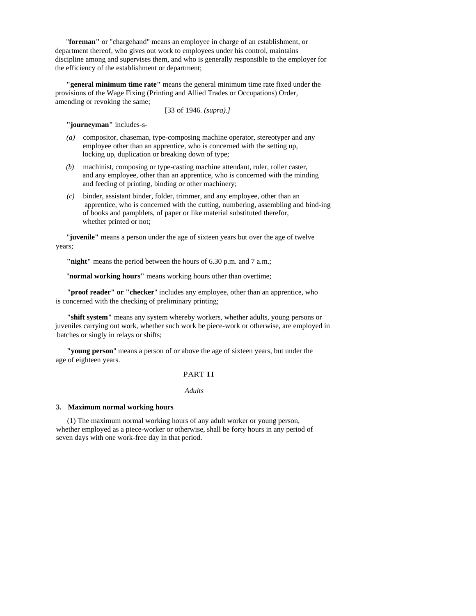"**foreman"** or "chargehand" means an employee in charge of an establishment, or department thereof, who gives out work to employees under his control, maintains discipline among and supervises them, and who is generally responsible to the employer for the efficiency of the establishment or department;

**"general minimum time rate"** means the general minimum time rate fixed under the provisions of the Wage Fixing (Printing and Allied Trades or Occupations) Order, amending or revoking the same;

[33 of 1946. *(supra).]* 

**"journeyman"** includes-s-

- *(a)* compositor, chaseman, type-composing machine operator, stereotyper and any employee other than an apprentice, who is concerned with the setting up, locking up, duplication or breaking down of type;
- *(b)* machinist, composing or type-casting machine attendant, ruler, roller caster, and any employee, other than an apprentice, who is concerned with the minding and feeding of printing, binding or other machinery;
- *(c)* binder, assistant binder, folder, trimmer, and any employee, other than an apprentice, who is concerned with the cutting, numbering, assembling and bind-ing of books and pamphlets, of paper or like material substituted therefor, whether printed or not;

"**juvenile"** means a person under the age of sixteen years but over the age of twelve years;

**"night"** means the period between the hours of 6.30 p.m. and 7 a.m.;

"**normal working hours"** means working hours other than overtime;

**"proof reader" or "checker**" includes any employee, other than an apprentice, who is concerned with the checking of preliminary printing;

**"shift system"** means any system whereby workers, whether adults, young persons or juveniles carrying out work, whether such work be piece-work or otherwise, are employed in batches or singly in relays or shifts;

**"young person**" means a person of or above the age of sixteen years, but under the age of eighteen years.

## PART II

*Adults* 

#### **3. Maximum normal working hours**

(1) The maximum normal working hours of any adult worker or young person, whether employed as a piece-worker or otherwise, shall be forty hours in any period of seven days with one work-free day in that period.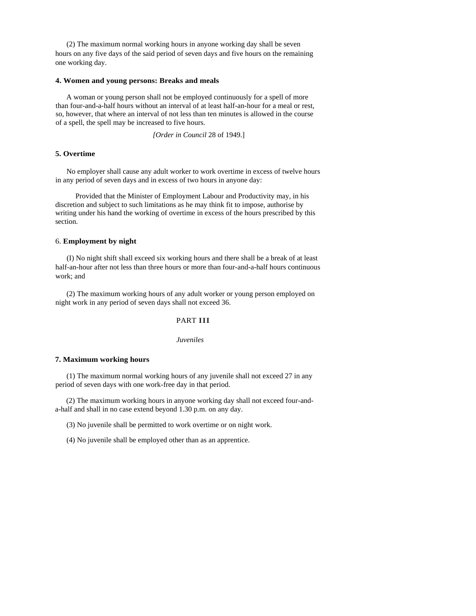(2) The maximum normal working hours in anyone working day shall be seven hours on any five days of the said period of seven days and five hours on the remaining one working day.

#### **4. Women and young persons: Breaks and meals**

A woman or young person shall not be employed continuously for a spell of more than four-and-a-half hours without an interval of at least half-an-hour for a meal or rest, so, however, that where an interval of not less than ten minutes is allowed in the course of a spell, the spell may be increased to five hours.

*[Order in Council* 28 of 1949.]

### **5. Overtime**

No employer shall cause any adult worker to work overtime in excess of twelve hours in any period of seven days and in excess of two hours in anyone day:

Provided that the Minister of Employment Labour and Productivity may, in his discretion and subject to such limitations as he may think fit to impose, authorise by writing under his hand the working of overtime in excess of the hours prescribed by this section.

## 6. **Employment by night**

(I) No night shift shall exceed six working hours and there shall be a break of at least half-an-hour after not less than three hours or more than four-and-a-half hours continuous work; and

(2) The maximum working hours of any adult worker or young person employed on night work in any period of seven days shall not exceed 36.

## PART III

#### *Juveniles*

#### **7. Maximum working hours**

(1) The maximum normal working hours of any juvenile shall not exceed 27 in any period of seven days with one work-free day in that period.

(2) The maximum working hours in anyone working day shall not exceed four-anda-half and shall in no case extend beyond 1.30 p.m. on any day.

(3) No juvenile shall be permitted to work overtime or on night work.

(4) No juvenile shall be employed other than as an apprentice.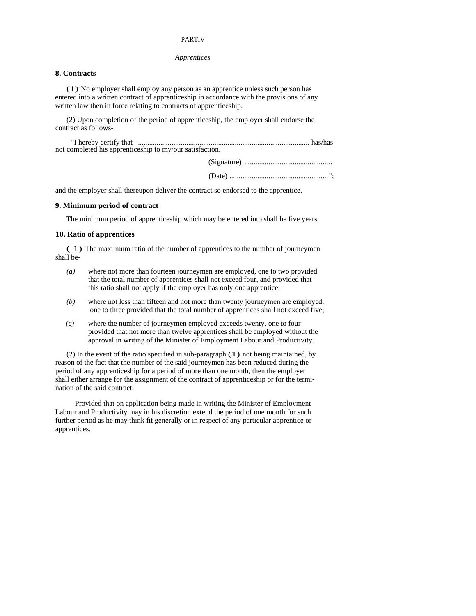### PARTIV

### *Apprentices*

# **8. Contracts**

(1) No employer shall employ any person as an apprentice unless such person has entered into a written contract of apprenticeship in accordance with the provisions of any written law then in force relating to contracts of apprenticeship.

(2) Upon completion of the period of apprenticeship, the employer shall endorse the contract as follows-

| not completed his apprenticeship to my/our satisfaction. |  |
|----------------------------------------------------------|--|
|                                                          |  |
|                                                          |  |



and the employer shall thereupon deliver the contract so endorsed to the apprentice.

### **9. Minimum period of contract**

The minimum period of apprenticeship which may be entered into shall be five years.

#### **10. Ratio of apprentices**

( 1) The maxi mum ratio of the number of apprentices to the number of journeymen shall be-

- *(a)* where not more than fourteen journeymen are employed, one to two provided that the total number of apprentices shall not exceed four, and provided that this ratio shall not apply if the employer has only one apprentice;
- *(b)* where not less than fifteen and not more than twenty journeymen are employed, one to three provided that the total number of apprentices shall not exceed five;
- *(c)* where the number of journeymen employed exceeds twenty, one to four provided that not more than twelve apprentices shall be employed without the approval in writing of the Minister of Employment Labour and Productivity.

(2) In the event of the ratio specified in sub-paragraph (1) not being maintained, by reason of the fact that the number of the said journeymen has been reduced during the period of any apprenticeship for a period of more than one month, then the employer shall either arrange for the assignment of the contract of apprenticeship or for the termination of the said contract:

Provided that on application being made in writing the Minister of Employment Labour and Productivity may in his discretion extend the period of one month for such further period as he may think fit generally or in respect of any particular apprentice or apprentices.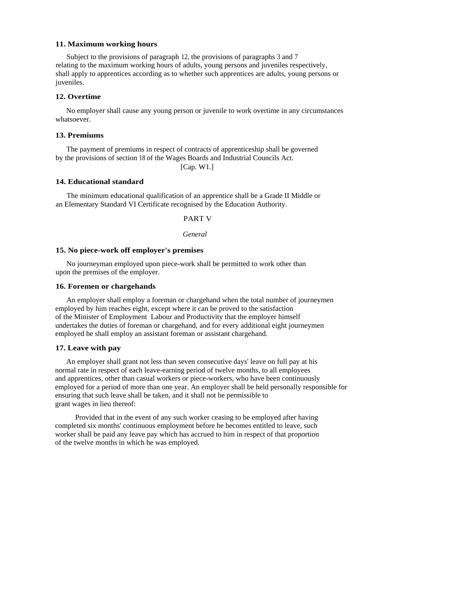### **11. Maximum working hours**

Subject to the provisions of paragraph 12, the provisions of paragraphs 3 and 7 relating to the maximum working hours of adults, young persons and juveniles respectively, shall apply to apprentices according as to whether such apprentices are adults, young persons or juveniles.

### **12. Overtime**

No employer shall cause any young person or juvenile to work overtime in any circumstances whatsoever.

#### **13. Premiums**

The payment of premiums in respect of contracts of apprenticeship shall be governed by the provisions of section 18 of the Wages Boards and Industrial Councils Act.

[Cap. W1.]

## **14. Educational standard**

The minimum educational qualification of an apprentice shall be a Grade II Middle or an Elementary Standard VI Certificate recognised by the Education Authority.

PART V

*General* 

### **15. No piece-work off employer's premises**

No journeyman employed upon piece-work shall be permitted to work other than upon the premises of the employer.

#### **16. Foremen or chargehands**

An employer shall employ a foreman or chargehand when the total number of journeymen employed by him reaches eight, except where it can be proved to the satisfaction of the Minister of Employment Labour and Productivity that the employer himself undertakes the duties of foreman or chargehand, and for every additional eight journeymen employed he shall employ an assistant foreman or assistant chargehand.

### **17. Leave with pay**

An employer shall grant not less than seven consecutive days' leave on full pay at his normal rate in respect of each leave-earning period of twelve months, to all employees and apprentices, other than casual workers or piece-workers, who have been continuously employed for a period of more than one year. An employer shall be held personally responsible for ensuring that such leave shall be taken, and it shall not be permissible to grant wages in lieu thereof:

Provided that in the event of any such worker ceasing to be employed after having completed six months' continuous employment before he becomes entitled to leave, such worker shall be paid any leave pay which has accrued to him in respect of that proportion of the twelve months in which he was employed.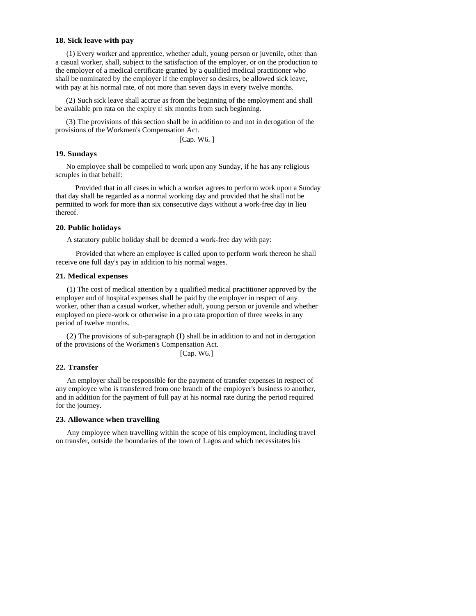#### **18. Sick leave with pay**

(1) Every worker and apprentice, whether adult, young person or juvenile, other than a casual worker, shall, subject to the satisfaction of the employer, or on the production to the employer of a medical certificate granted by a qualified medical practitioner who shall be nominated by the employer if the employer so desires, be allowed sick leave, with pay at his normal rate, of not more than seven days in every twelve months.

(2) Such sick leave shall accrue as from the beginning of the employment and shall be available pro rata on the expiry of six months from such beginning.

(3) The provisions of this section shall be in addition to and not in derogation of the provisions of the Workmen's Compensation Act.

[Cap. W6. ]

#### **19. Sundays**

No employee shall be compelled to work upon any Sunday, if he has any religious scruples in that behalf:

Provided that in all cases in which a worker agrees to perform work upon a Sunday that day shall be regarded as a normal working day and provided that he shall not be permitted to work for more than six consecutive days without a work-free day in lieu thereof.

### **20. Public holidays**

A statutory public holiday shall be deemed a work-free day with pay:

Provided that where an employee is called upon to perform work thereon he shall receive one full day's pay in addition to his normal wages.

#### **21. Medical expenses**

(1) The cost of medical attention by a qualified medical practitioner approved by the employer and of hospital expenses shall be paid by the employer in respect of any worker, other than a casual worker, whether adult, young person or juvenile and whether employed on piece-work or otherwise in a pro rata proportion of three weeks in any period of twelve months.

(2) The provisions of sub-paragraph (I) shall be in addition to and not in derogation of the provisions of the Workmen's Compensation Act. [Cap. W6.]

$$
\Box
$$

#### **22. Transfer**

An employer shall be responsible for the payment of transfer expenses in respect of any employee who is transferred from one branch of the employer's business to another, and in addition for the payment of full pay at his normal rate during the period required for the journey.

### **23. Allowance when travelling**

Any employee when travelling within the scope of his employment, including travel on transfer, outside the boundaries of the town of Lagos and which necessitates his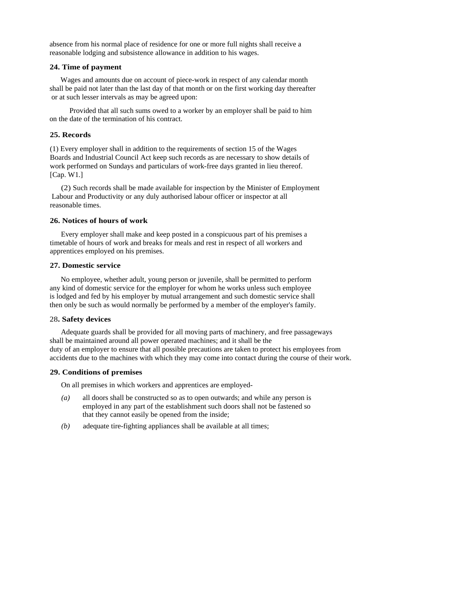absence from his normal place of residence for one or more full nights shall receive a reasonable lodging and subsistence allowance in addition to his wages.

### **24. Time of payment**

Wages and amounts due on account of piece-work in respect of any calendar month shall be paid not later than the last day of that month or on the first working day thereafter or at such lesser intervals as may be agreed upon:

Provided that all such sums owed to a worker by an employer shall be paid to him on the date of the termination of his contract.

## **25. Records**

(1) Every employer shall in addition to the requirements of section 15 of the Wages Boards and Industrial Council Act keep such records as are necessary to show details of work performed on Sundays and particulars of work-free days granted in lieu thereof. [Cap. W1.]

(2) Such records shall be made available for inspection by the Minister of Employment Labour and Productivity or any duly authorised labour officer or inspector at all reasonable times.

### **26. Notices of hours of work**

Every employer shall make and keep posted in a conspicuous part of his premises a timetable of hours of work and breaks for meals and rest in respect of all workers and apprentices employed on his premises.

### **27. Domestic service**

No employee, whether adult, young person or juvenile, shall be permitted to perform any kind of domestic service for the employer for whom he works unless such employee is lodged and fed by his employer by mutual arrangement and such domestic service shall then only be such as would normally be performed by a member of the employer's family.

#### 28**. Safety devices**

Adequate guards shall be provided for all moving parts of machinery, and free passageways shall be maintained around all power operated machines; and it shall be the duty of an employer to ensure that all possible precautions are taken to protect his employees from accidents due to the machines with which they may come into contact during the course of their work.

### **29. Conditions of premises**

On all premises in which workers and apprentices are employed-

- *(a)* all doors shall be constructed so as to open outwards; and while any person is employed in any part of the establishment such doors shall not be fastened so that they cannot easily be opened from the inside;
- *(b)* adequate tire-fighting appliances shall be available at all times;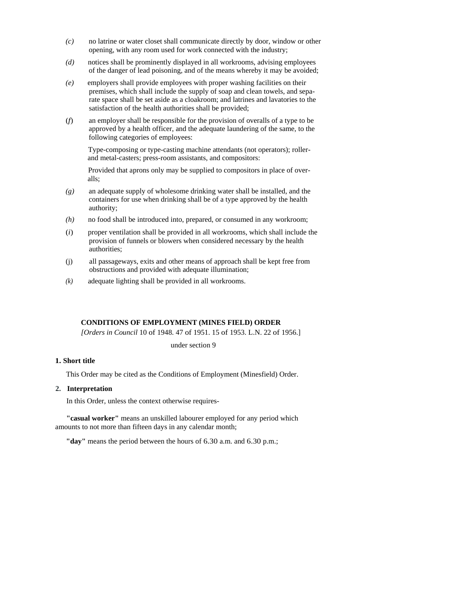- *(c)* no latrine or water closet shall communicate directly by door, window or other opening, with any room used for work connected with the industry;
- *(d)* notices shall be prominently displayed in all workrooms, advising employees of the danger of lead poisoning, and of the means whereby it may be avoided;
- *(e)* employers shall provide employees with proper washing facilities on their premises, which shall include the supply of soap and clean towels, and separate space shall be set aside as a cloakroom; and latrines and lavatories to the satisfaction of the health authorities shall be provided;
- (*f*) an employer shall be responsible for the provision of overalls of a type to be approved by a health officer, and the adequate laundering of the same, to the following categories of employees:

Type-composing or type-casting machine attendants (not operators); rollerand metal-casters; press-room assistants, and compositors:

Provided that aprons only may be supplied to compositors in place of overalls;

- *(g)* an adequate supply of wholesome drinking water shall be installed, and the containers for use when drinking shall be of a type approved by the health authority;
- *(h)* no food shall be introduced into, prepared, or consumed in any workroom;
- (*i*) proper ventilation shall be provided in all workrooms, which shall include the provision of funnels or blowers when considered necessary by the health authorities;
- (j) all passageways, exits and other means of approach shall be kept free from obstructions and provided with adequate illumination;
- *(k)* adequate lighting shall be provided in all workrooms.

## **CONDITIONS OF EMPLOYMENT (MINES FIELD) ORDER**

*[Orders in Council* 10 of 1948. 47 of 1951. 15 of 1953. L.N. 22 of 1956.]

under section 9

#### **1. Short title**

This Order may be cited as the Conditions of Employment (Minesfield) Order.

## **2. Interpretation**

In this Order, unless the context otherwise requires-

**"casual worker"** means an unskilled labourer employed for any period which amounts to not more than fifteen days in any calendar month;

**"day"** means the period between the hours of 6.30 a.m. and 6.30 p.m.;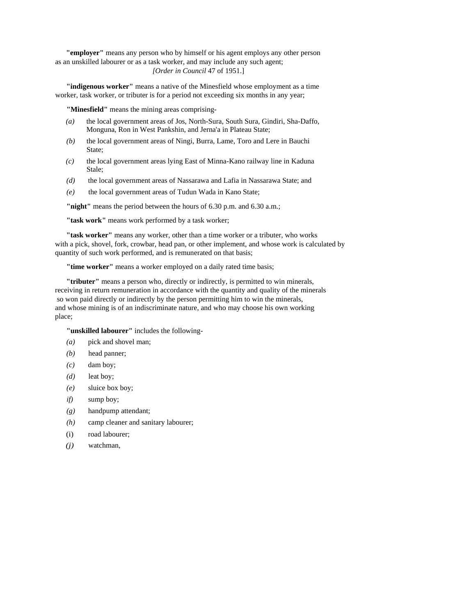**"employer"** means any person who by himself or his agent employs any other person as an unskilled labourer or as a task worker, and may include any such agent; *[Order in Council* 47 of 1951.]

**"indigenous worker"** means a native of the Minesfield whose employment as a time worker, task worker, or tributer is for a period not exceeding six months in any year;

**"Minesfield"** means the mining areas comprising-

- *(a)* the local government areas of Jos, North-Sura, South Sura, Gindiri, Sha-Daffo, Monguna, Ron in West Pankshin, and Jerna'a in Plateau State;
- *(b)* the local government areas of Ningi, Burra, Lame, Toro and Lere in Bauchi State;
- *(c)* the local government areas lying East of Minna-Kano railway line in Kaduna Stale;
- *(d)* the local government areas of Nassarawa and Lafia in Nassarawa State; and
- *(e)* the local government areas of Tudun Wada in Kano State;

**"night"** means the period between the hours of 6.30 p.m. and 6.30 a.m.;

**"task work"** means work performed by a task worker;

**"task worker"** means any worker, other than a time worker or a tributer, who works with a pick, shovel, fork, crowbar, head pan, or other implement, and whose work is calculated by quantity of such work performed, and is remunerated on that basis;

**"time worker"** means a worker employed on a daily rated time basis;

**"tributer"** means a person who, directly or indirectly, is permitted to win minerals, receiving in return remuneration in accordance with the quantity and quality of the minerals so won paid directly or indirectly by the person permitting him to win the minerals, and whose mining is of an indiscriminate nature, and who may choose his own working place;

**"unskilled labourer"** includes the following-

- *(a)* pick and shovel man;
- *(b)* head panner;
- $(c)$  dam boy;
- *(d)* leat boy;
- *(e)* sluice box boy;
- *if*) sump boy;
- *(g)* handpump attendant;
- *(h)* camp cleaner and sanitary labourer;
- (i) road labourer;
- *(j)* watchman,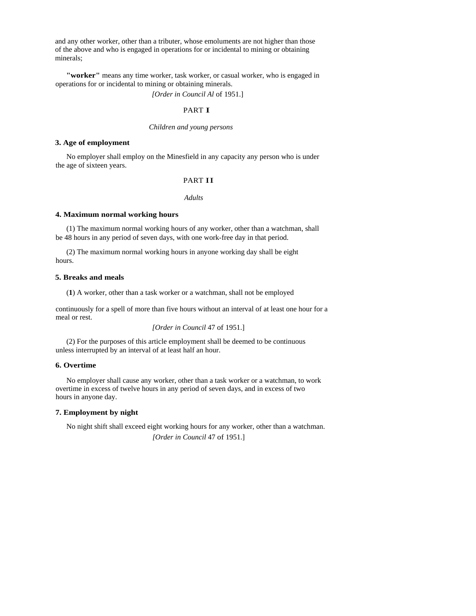and any other worker, other than a tributer, whose emoluments are not higher than those of the above and who is engaged in operations for or incidental to mining or obtaining minerals;

**"worker"** means any time worker, task worker, or casual worker, who is engaged in operations for or incidental to mining or obtaining minerals.

*[Order in Council Al* of 1951.]

### PART I

## *Children and young persons*

#### **3. Age of employment**

No employer shall employ on the Minesfield in any capacity any person who is under the age of sixteen years.

## PART II

## *Adults*

### **4. Maximum normal working hours**

(1) The maximum normal working hours of any worker, other than a watchman, shall be 48 hours in any period of seven days, with one work-free day in that period.

(2) The maximum normal working hours in anyone working day shall be eight hours.

### **5. Breaks and meals**

(**1**) A worker, other than a task worker or a watchman, shall not be employed

continuously for a spell of more than five hours without an interval of at least one hour for a meal or rest.

*[Order in Council* 47 of 1951.]

(2) For the purposes of this article employment shall be deemed to be continuous unless interrupted by an interval of at least half an hour.

#### **6. Overtime**

No employer shall cause any worker, other than a task worker or a watchman, to work overtime in excess of twelve hours in any period of seven days, and in excess of two hours in anyone day.

### **7. Employment by night**

No night shift shall exceed eight working hours for any worker, other than a watchman. *[Order in Council* 47 of 1951.]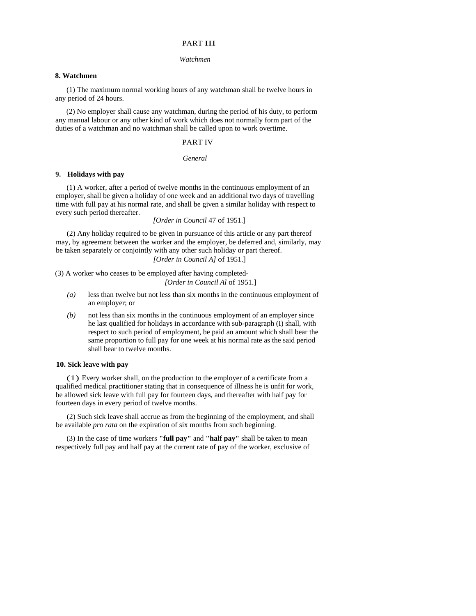## PART III

#### *Watchmen*

#### **8. Watchmen**

(1) The maximum normal working hours of any watchman shall be twelve hours in any period of 24 hours.

(2) No employer shall cause any watchman, during the period of his duty, to perform any manual labour or any other kind of work which does not normally form part of the duties of a watchman and no watchman shall be called upon to work overtime.

# PART IV

#### *General*

## **9. Holidays with pay**

(1) A worker, after a period of twelve months in the continuous employment of an employer, shall be given a holiday of one week and an additional two days of travelling time with full pay at his normal rate, and shall be given a similar holiday with respect to every such period thereafter.

*[Order in Council* 47 of 1951.]

(2) Any holiday required to be given in pursuance of this article or any part thereof may, by agreement between the worker and the employer, be deferred and, similarly, may be taken separately or conjointly with any other such holiday or part thereof.

# *[Order in Council A]* of 1951.]

(3) A worker who ceases to be employed after having completed-

*[Order in Council Al* of 1951.]

- *(a)* less than twelve but not less than six months in the continuous employment of an employer; or
- *(b)* not less than six months in the continuous employment of an employer since he last qualified for holidays in accordance with sub-paragraph (I) shall, with respect to such period of employment, be paid an amount which shall bear the same proportion to full pay for one week at his normal rate as the said period shall bear to twelve months.

### **10. Sick leave with pay**

(1) Every worker shall, on the production to the employer of a certificate from a qualified medical practitioner stating that in consequence of illness he is unfit for work, be allowed sick leave with full pay for fourteen days, and thereafter with half pay for fourteen days in every period of twelve months.

(2) Such sick leave shall accrue as from the beginning of the employment, and shall be available *pro rata* on the expiration of six months from such beginning.

(3) In the case of time workers **"full pay"** and **"half pay"** shall be taken to mean respectively full pay and half pay at the current rate of pay of the worker, exclusive of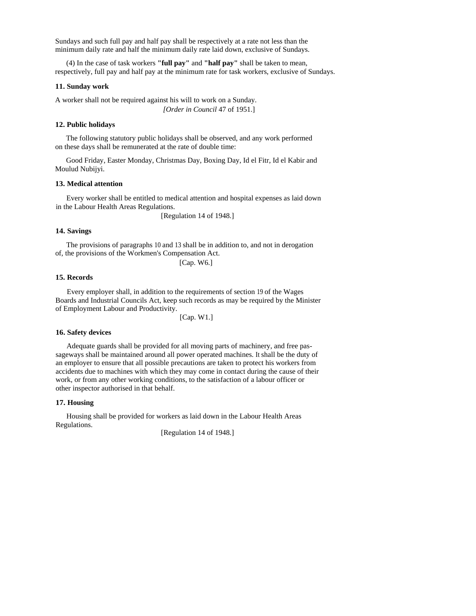Sundays and such full pay and half pay shall be respectively at a rate not less than the minimum daily rate and half the minimum daily rate laid down, exclusive of Sundays.

(4) In the case of task workers **"full pay"** and **"half pay"** shall be taken to mean, respectively, full pay and half pay at the minimum rate for task workers, exclusive of Sundays.

### **11. Sunday work**

A worker shall not be required against his will to work on a Sunday. *[Order in Council* 47 of 1951.]

### **12. Public holidays**

The following statutory public holidays shall be observed, and any work performed on these days shall be remunerated at the rate of double time:

Good Friday, Easter Monday, Christmas Day, Boxing Day, Id el Fitr, Id el Kabir and Moulud Nubijyi.

### **13. Medical attention**

Every worker shall be entitled to medical attention and hospital expenses as laid down in the Labour Health Areas Regulations.

[Regulation 14 of 1948.]

### **14. Savings**

The provisions of paragraphs 10 and 13 shall be in addition to, and not in derogation of, the provisions of the Workmen's Compensation Act.

[Cap. W6.]

### **15. Records**

Every employer shall, in addition to the requirements of section 19 of the Wages Boards and Industrial Councils Act, keep such records as may be required by the Minister of Employment Labour and Productivity.

[Cap. W1.]

#### **16. Safety devices**

Adequate guards shall be provided for all moving parts of machinery, and free passageways shall be maintained around all power operated machines. It shall be the duty of an employer to ensure that all possible precautions are taken to protect his workers from accidents due to machines with which they may come in contact during the cause of their work, or from any other working conditions, to the satisfaction of a labour officer or other inspector authorised in that behalf.

### **17. Housing**

Housing shall be provided for workers as laid down in the Labour Health Areas Regulations.

[Regulation 14 of 1948.]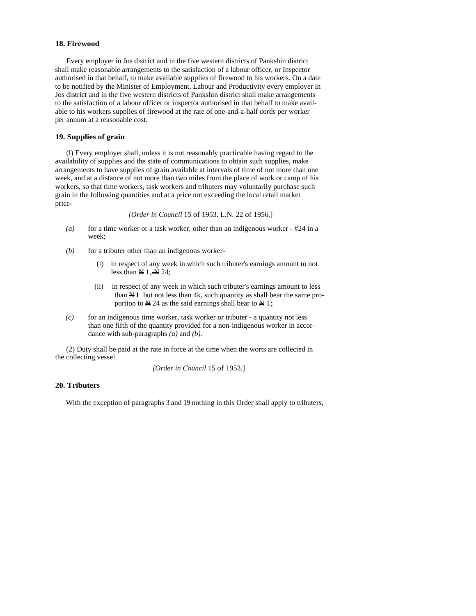## **18. Firewood**

Every employer in Jos district and in the five western districts of Pankshin district shall make reasonable arrangements to the satisfaction of a labour officer, or Inspector authorised in that behalf, to make available supplies of firewood to his workers. On a date to be notified by the Minister of Employment, Labour and Productivity every employer in Jos district and in the five western districts of Pankshin district shall make arrangements to the satisfaction of a labour officer or inspector authorised in that behalf to make available to his workers supplies of firewood at the rate of one-and-a-half cords per worker per annum at a reasonable cost.

### **19. Supplies of grain**

(l) Every employer shall, unless it is not reasonably practicable having regard to the availability of supplies and the state of communications to obtain such supplies, make arrangements to have supplies of grain available at intervals of time of not more than one week, and at a distance of not more than two miles from the place of work or camp of his workers, so that time workers, task workers and tributers may voluntarily purchase such grain in the following quantities and at a price not exceeding the local retail market price-

*[Order in Council* 15 of 1953. L.N. 22 of 1956.]

- *(a)* for a time worker or a task worker, other than an indigenous worker #24 in a week;
- $(b)$  for a tributer other than an indigenous worker-
	- (i) in respect of any week in which such tributer's earnings amount to not less than  $\overrightarrow{M}$  1,  $\overrightarrow{M}$  24;
	- (ii) in respect of any week in which such tributer's earnings amount to less than  $\overline{N1}$  but not less than 4k, such quantity as shall bear the same proportion to  $N$  24 as the said earnings shall bear to  $N$  1;
- *(c)* for an indigenous time worker, task worker or tributer a quantity not less than one fifth of the quantity provided for a non-indigenous worker in accordance with sub-paragraphs *(a)* and *(b).*

(2) Duty shall be paid at the rate in force at the time when the worts are collected in the collecting vessel.

*[Order in Council* 15 of 1953.]

### **20. Tributers**

With the exception of paragraphs 3 and 19 nothing in this Order shall apply to tributers,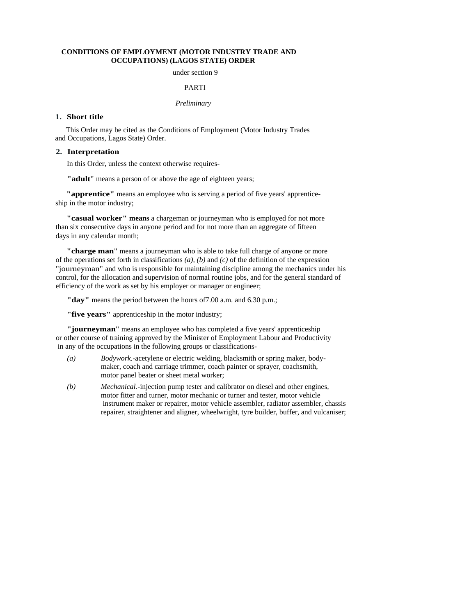## **CONDITIONS OF EMPLOYMENT (MOTOR INDUSTRY TRADE AND OCCUPATIONS) (LAGOS STATE) ORDER**

under section 9

#### PARTI

# *Preliminary*

### **1. Short title**

This Order may be cited as the Conditions of Employment (Motor Industry Trades and Occupations, Lagos State) Order.

## **2. Interpretation**

In this Order, unless the context otherwise requires-

**"adult**" means a person of or above the age of eighteen years;

**"apprentice"** means an employee who is serving a period of five years' apprenticeship in the motor industry;

**"casual worker" means** a chargeman or journeyman who is employed for not more than six consecutive days in anyone period and for not more than an aggregate of fifteen days in any calendar month;

**"charge man**" means a journeyman who is able to take full charge of anyone or more of the operations set forth in classifications *(a), (b)* and *(c)* of the definition of the expression "journeyman" and who is responsible for maintaining discipline among the mechanics under his control, for the allocation and supervision of normal routine jobs, and for the general standard of efficiency of the work as set by his employer or manager or engineer;

**"day"** means the period between the hours of7.00 a.m. and 6.30 p.m.;

**"five years"** apprenticeship in the motor industry;

**"journeyman**" means an employee who has completed a five years' apprenticeship or other course of training approved by the Minister of Employment Labour and Productivity in any of the occupations in the following groups or classifications-

- *(a) Bodywork.-*acetylene or electric welding, blacksmith or spring maker, bodymaker, coach and carriage trimmer, coach painter or sprayer, coachsmith, motor panel beater or sheet metal worker;
- *(b) Mechanical.-*injection pump tester and calibrator on diesel and other engines, motor fitter and turner, motor mechanic or turner and tester, motor vehicle instrument maker or repairer, motor vehicle assembler, radiator assembler, chassis repairer, straightener and aligner, wheelwright, tyre builder, buffer, and vulcaniser;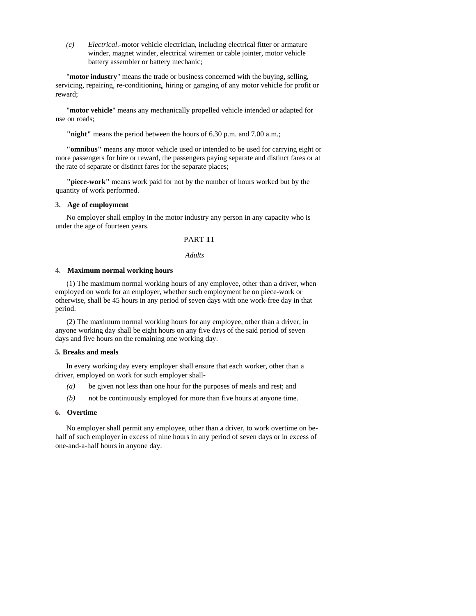*(c) Electrical*.-motor vehicle electrician, including electrical fitter or armature winder, magnet winder, electrical wiremen or cable jointer, motor vehicle battery assembler or battery mechanic;

"**motor industry**" means the trade or business concerned with the buying, selling, servicing, repairing, re-conditioning, hiring or garaging of any motor vehicle for profit or reward;

"**motor vehicle**" means any mechanically propelled vehicle intended or adapted for use on roads;

**"night"** means the period between the hours of 6.30 p.m. and 7.00 a.m.;

**"omnibus"** means any motor vehicle used or intended to be used for carrying eight or more passengers for hire or reward, the passengers paying separate and distinct fares or at the rate of separate or distinct fares for the separate places;

**"piece-work"** means work paid for not by the number of hours worked but by the quantity of work performed.

### **3. Age of employment**

No employer shall employ in the motor industry any person in any capacity who is under the age of fourteen years.

## PART II

#### *Adults*

### **4. Maximum normal working hours**

(1) The maximum normal working hours of any employee, other than a driver, when employed on work for an employer, whether such employment be on piece-work or otherwise, shall be 45 hours in any period of seven days with one work-free day in that period.

(2) The maximum normal working hours for any employee, other than a driver, in anyone working day shall be eight hours on any five days of the said period of seven days and five hours on the remaining one working day.

### **5. Breaks and meals**

In every working day every employer shall ensure that each worker, other than a driver, employed on work for such employer shall-

- *(a)* be given not less than one hour for the purposes of meals and rest; and
- *(b)* not be continuously employed for more than five hours at anyone time.

### **6. Overtime**

No employer shall permit any employee, other than a driver, to work overtime on behalf of such employer in excess of nine hours in any period of seven days or in excess of one-and-a-half hours in anyone day.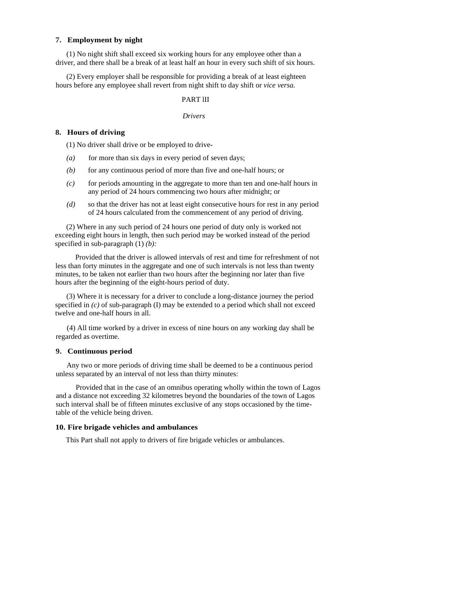#### **7. Employment by night**

(1) No night shift shall exceed six working hours for any employee other than a driver, and there shall be a break of at least half an hour in every such shift of six hours.

(2) Every employer shall be responsible for providing a break of at least eighteen hours before any employee shall revert from night shift to day shift or *vice versa.* 

## PART lII

#### *Drivers*

### **8. Hours of driving**

(1) No driver shall drive or be employed to drive-

- $(a)$  for more than six days in every period of seven days;
- *(b)* for any continuous period of more than five and one-half hours; or
- *(c)* for periods amounting in the aggregate to more than ten and one-half hours in any period of 24 hours commencing two hours after midnight; or
- *(d)* so that the driver has not at least eight consecutive hours for rest in any period of 24 hours calculated from the commencement of any period of driving.

(2) Where in any such period of 24 hours one period of duty only is worked not exceeding eight hours in length, then such period may be worked instead of the period specified in sub-paragraph (1) *(b):* 

Provided that the driver is allowed intervals of rest and time for refreshment of not less than forty minutes in the aggregate and one of such intervals is not less than twenty minutes, to be taken not earlier than two hours after the beginning nor later than five hours after the beginning of the eight-hours period of duty.

(3) Where it is necessary for a driver to conclude a long-distance journey the period specified in *(c)* of sub-paragraph (I) may be extended to a period which shall not exceed twelve and one-half hours in all.

(4) All time worked by a driver in excess of nine hours on any working day shall be regarded as overtime.

## **9. Continuous period**

Any two or more periods of driving time shall be deemed to be a continuous period unless separated by an interval of not less than thirty minutes:

Provided that in the case of an omnibus operating wholly within the town of Lagos and a distance not exceeding 32 kilometres beyond the boundaries of the town of Lagos such interval shall be of fifteen minutes exclusive of any stops occasioned by the timetable of the vehicle being driven.

#### **10. Fire brigade vehicles and ambulances**

This Part shall not apply to drivers of fire brigade vehicles or ambulances.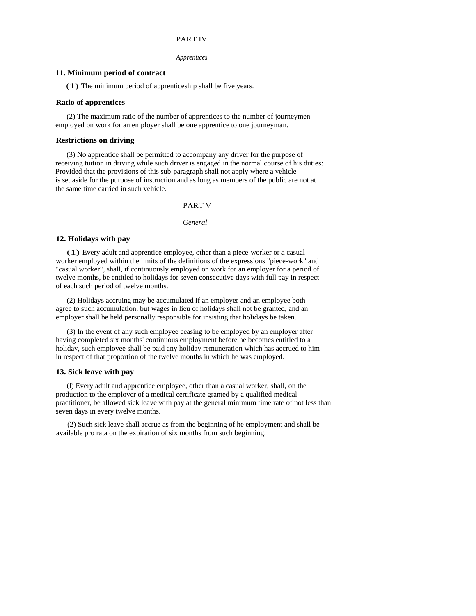## PART IV

#### *Apprentices*

# **11. Minimum period of contract**

(1) The minimum period of apprenticeship shall be five years.

### **Ratio of apprentices**

(2) The maximum ratio of the number of apprentices to the number of journeymen employed on work for an employer shall be one apprentice to one journeyman.

## **Restrictions on driving**

(3) No apprentice shall be permitted to accompany any driver for the purpose of receiving tuition in driving while such driver is engaged in the normal course of his duties: Provided that the provisions of this sub-paragraph shall not apply where a vehicle is set aside for the purpose of instruction and as long as members of the public are not at the same time carried in such vehicle.

#### PART V

#### *General*

### **12. Holidays with pay**

(1) Every adult and apprentice employee, other than a piece-worker or a casual worker employed within the limits of the definitions of the expressions "piece-work" and "casual worker", shall, if continuously employed on work for an employer for a period of twelve months, be entitled to holidays for seven consecutive days with full pay in respect of each such period of twelve months.

(2) Holidays accruing may be accumulated if an employer and an employee both agree to such accumulation, but wages in lieu of holidays shall not be granted, and an employer shall be held personally responsible for insisting that holidays be taken.

(3) In the event of any such employee ceasing to be employed by an employer after having completed six months' continuous employment before he becomes entitled to a holiday, such employee shall be paid any holiday remuneration which has accrued to him in respect of that proportion of the twelve months in which he was employed.

### **13. Sick leave with pay**

(l) Every adult and apprentice employee, other than a casual worker, shall, on the production to the employer of a medical certificate granted by a qualified medical practitioner, be allowed sick leave with pay at the general minimum time rate of not less than seven days in every twelve months.

(2) Such sick leave shall accrue as from the beginning of he employment and shall be available pro rata on the expiration of six months from such beginning.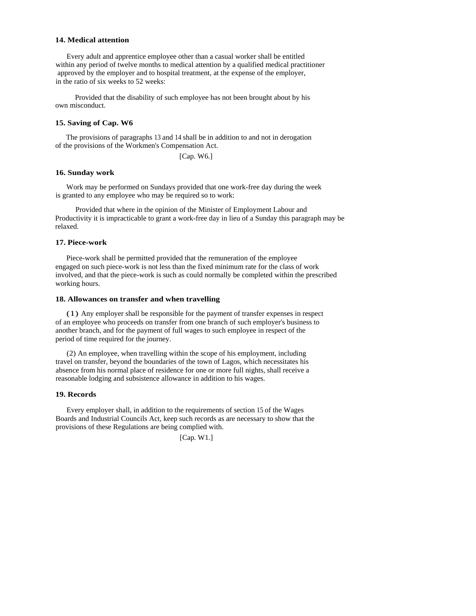#### **14. Medical attention**

Every adult and apprentice employee other than a casual worker shall be entitled within any period of twelve months to medical attention by a qualified medical practitioner approved by the employer and to hospital treatment, at the expense of the employer, in the ratio of six weeks to 52 weeks:

Provided that the disability of such employee has not been brought about by his own misconduct.

#### **15. Saving of Cap. W6**

The provisions of paragraphs 13 and 14 shall be in addition to and not in derogation of the provisions of the Workmen's Compensation Act.

[Cap. W6.]

### **16. Sunday work**

Work may be performed on Sundays provided that one work-free day during the week is granted to any employee who may be required so to work:

Provided that where in the opinion of the Minister of Employment Labour and Productivity it is impracticable to grant a work-free day in lieu of a Sunday this paragraph may be relaxed.

#### **17. Piece-work**

Piece-work shall be permitted provided that the remuneration of the employee engaged on such piece-work is not less than the fixed minimum rate for the class of work involved, and that the piece-work is such as could normally be completed within the prescribed working hours.

#### **18. Allowances on transfer and when travelling**

(1) Any employer shall be responsible for the payment of transfer expenses in respect of an employee who proceeds on transfer from one branch of such employer's business to another branch, and for the payment of full wages to such employee in respect of the period of time required for the journey.

(2) An employee, when travelling within the scope of his employment, including travel on transfer, beyond the boundaries of the town of Lagos, which necessitates his absence from his normal place of residence for one or more full nights, shall receive a reasonable lodging and subsistence allowance in addition to his wages.

#### **19. Records**

Every employer shall, in addition to the requirements of section 15 of the Wages Boards and Industrial Councils Act, keep such records as are necessary to show that the provisions of these Regulations are being complied with.

[Cap. W1.]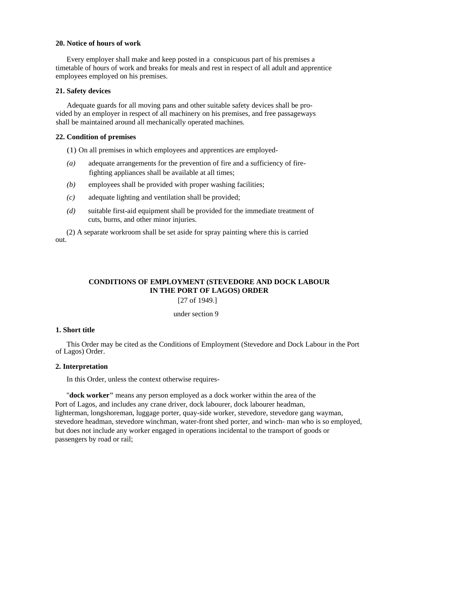#### **20. Notice of hours of work**

Every employer shall make and keep posted in a conspicuous part of his premises a timetable of hours of work and breaks for meals and rest in respect of all adult and apprentice employees employed on his premises.

## **21. Safety devices**

Adequate guards for all moving pans and other suitable safety devices shall be provided by an employer in respect of all machinery on his premises, and free passageways shall be maintained around all mechanically operated machines.

### **22. Condition of premises**

- (1) On all premises in which employees and apprentices are employed-
- *(a)* adequate arrangements for the prevention of fire and a sufficiency of firefighting appliances shall be available at all times;
- *(b)* employees shall be provided with proper washing facilities;
- *(c)* adequate lighting and ventilation shall be provided;
- *(d)* suitable first-aid equipment shall be provided for the immediate treatment of cuts, burns, and other minor injuries.

(2) A separate workroom shall be set aside for spray painting where this is carried out.

# **CONDITIONS OF EMPLOYMENT (STEVEDORE AND DOCK LABOUR IN THE PORT OF LAGOS) ORDER**

[27 of 1949.]

under section 9

#### **1. Short title**

This Order may be cited as the Conditions of Employment (Stevedore and Dock Labour in the Port of Lagos) Order.

### **2. Interpretation**

In this Order, unless the context otherwise requires-

"**dock worker"** means any person employed as a dock worker within the area of the Port of Lagos, and includes any crane driver, dock labourer, dock labourer headman, lighterman, longshoreman, luggage porter, quay-side worker, stevedore, stevedore gang wayman, stevedore headman, stevedore winchman, water-front shed porter, and winch- man who is so employed, but does not include any worker engaged in operations incidental to the transport of goods or passengers by road or rail;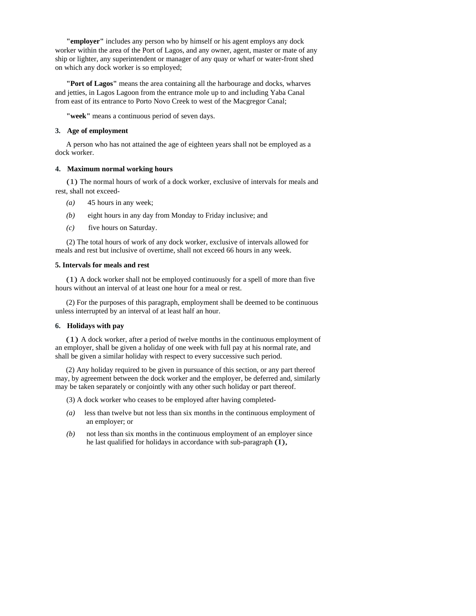**"employer"** includes any person who by himself or his agent employs any dock worker within the area of the Port of Lagos, and any owner, agent, master or mate of any ship or lighter, any superintendent or manager of any quay or wharf or water-front shed on which any dock worker is so employed;

**"Port of Lagos"** means the area containing all the harbourage and docks, wharves and jetties, in Lagos Lagoon from the entrance mole up to and including Yaba Canal from east of its entrance to Porto Novo Creek to west of the Macgregor Canal;

**"week"** means a continuous period of seven days.

## **3. Age of employment**

A person who has not attained the age of eighteen years shall not be employed as a dock worker.

## **4. Maximum normal working hours**

(1) The normal hours of work of a dock worker, exclusive of intervals for meals and rest, shall not exceed-

- *(a)* 45 hours in any week;
- *(b)* eight hours in any day from Monday to Friday inclusive; and
- *(c)* five hours on Saturday.

(2) The total hours of work of any dock worker, exclusive of intervals allowed for meals and rest but inclusive of overtime, shall not exceed 66 hours in any week.

### **5. Intervals for meals and rest**

(1) A dock worker shall not be employed continuously for a spell of more than five hours without an interval of at least one hour for a meal or rest.

(2) For the purposes of this paragraph, employment shall be deemed to be continuous unless interrupted by an interval of at least half an hour.

## **6. Holidays with pay**

(1) A dock worker, after a period of twelve months in the continuous employment of an employer, shall be given a holiday of one week with full pay at his normal rate, and shall be given a similar holiday with respect to every successive such period.

(2) Any holiday required to be given in pursuance of this section, or any part thereof may, by agreement between the dock worker and the employer, be deferred and, similarly may be taken separately or conjointly with any other such holiday or part thereof.

(3) A dock worker who ceases to be employed after having completed-

- *(a)* less than twelve but not less than six months in the continuous employment of an employer; or
- *(b)* not less than six months in the continuous employment of an employer since he last qualified for holidays in accordance with sub-paragraph (I),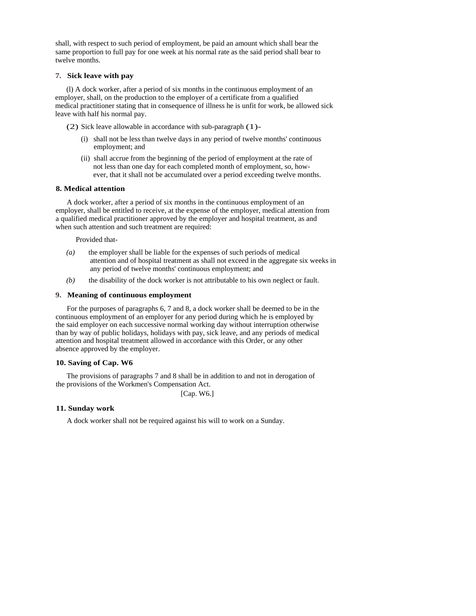shall, with respect to such period of employment, be paid an amount which shall bear the same proportion to full pay for one week at his normal rate as the said period shall bear to twelve months.

## **7. Sick leave with pay**

(l) A dock worker, after a period of six months in the continuous employment of an employer, shall, on the production to the employer of a certificate from a qualified medical practitioner stating that in consequence of illness he is unfit for work, be allowed sick leave with half his normal pay.

(2) Sick leave allowable in accordance with sub-paragraph (1)-

- (i) shall not be less than twelve days in any period of twelve months' continuous employment; and
- (ii) shall accrue from the beginning of the period of employment at the rate of not less than one day for each completed month of employment, so, how ever, that it shall not be accumulated over a period exceeding twelve months.

### **8. Medical attention**

A dock worker, after a period of six months in the continuous employment of an employer, shall be entitled to receive, at the expense of the employer, medical attention from a qualified medical practitioner approved by the employer and hospital treatment, as and when such attention and such treatment are required:

Provided that-

- *(a)* the employer shall be liable for the expenses of such periods of medical attention and of hospital treatment as shall not exceed in the aggregate six weeks in any period of twelve months' continuous employment; and
- *(b)* the disability of the dock worker is not attributable to his own neglect or fault.

#### **9. Meaning of continuous employment**

For the purposes of paragraphs 6, 7 and 8, a dock worker shall be deemed to be in the continuous employment of an employer for any period during which he is employed by the said employer on each successive normal working day without interruption otherwise than by way of public holidays, holidays with pay, sick leave, and any periods of medical attention and hospital treatment allowed in accordance with this Order, or any other absence approved by the employer.

## **10. Saving of Cap. W6**

The provisions of paragraphs 7 and 8 shall be in addition to and not in derogation of the provisions of the Workmen's Compensation Act.

[Cap. W6.]

## **11. Sunday work**

A dock worker shall not be required against his will to work on a Sunday.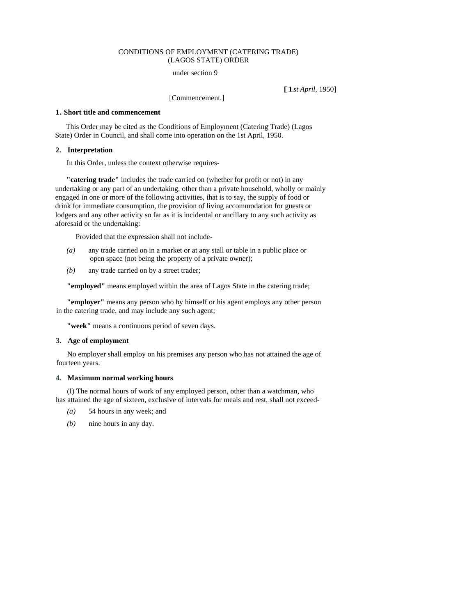## CONDITIONS OF EMPLOYMENT (CATERING TRADE) (LAGOS STATE) ORDER

[1*st April,* 1950]

under section 9

[Commencement.]

#### **1. Short title and commencement**

This Order may be cited as the Conditions of Employment (Catering Trade) (Lagos State) Order in Council, and shall come into operation on the 1st April, 1950.

## **2. Interpretation**

In this Order, unless the context otherwise requires-

**"catering trade"** includes the trade carried on (whether for profit or not) in any undertaking or any part of an undertaking, other than a private household, wholly or mainly engaged in one or more of the following activities, that is to say, the supply of food or drink for immediate consumption, the provision of living accommodation for guests or lodgers and any other activity so far as it is incidental or ancillary to any such activity as aforesaid or the undertaking:

Provided that the expression shall not include-

- *(a)* any trade carried on in a market or at any stall or table in a public place or open space (not being the property of a private owner);
- *(b)* any trade carried on by a street trader;

**"employed"** means employed within the area of Lagos State in the catering trade;

**"employer"** means any person who by himself or his agent employs any other person in the catering trade, and may include any such agent;

**"week"** means a continuous period of seven days.

## **3. Age of employment**

No employer shall employ on his premises any person who has not attained the age of fourteen years.

#### **4. Maximum normal working hours**

(I) The normal hours of work of any employed person, other than a watchman, who has attained the age of sixteen, exclusive of intervals for meals and rest, shall not exceed-

- *(a)* 54 hours in any week; and
- *(b)* nine hours in any day.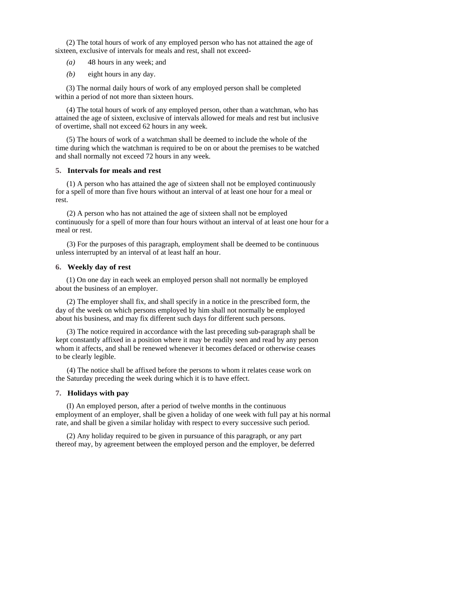(2) The total hours of work of any employed person who has not attained the age of sixteen, exclusive of intervals for meals and rest, shall not exceed-

- *(a)* 48 hours in any week; and
- *(b)* eight hours in any day.

(3) The normal daily hours of work of any employed person shall be completed within a period of not more than sixteen hours.

(4) The total hours of work of any employed person, other than a watchman, who has attained the age of sixteen, exclusive of intervals allowed for meals and rest but inclusive of overtime, shall not exceed 62 hours in any week.

(5) The hours of work of a watchman shall be deemed to include the whole of the time during which the watchman is required to be on or about the premises to be watched and shall normally not exceed 72 hours in any week.

### **5. Intervals for meals and rest**

(1) A person who has attained the age of sixteen shall not be employed continuously for a spell of more than five hours without an interval of at least one hour for a meal or rest.

(2) A person who has not attained the age of sixteen shall not be employed continuously for a spell of more than four hours without an interval of at least one hour for a meal or rest.

(3) For the purposes of this paragraph, employment shall be deemed to be continuous unless interrupted by an interval of at least half an hour.

### **6. Weekly day of rest**

(1) On one day in each week an employed person shall not normally be employed about the business of an employer.

(2) The employer shall fix, and shall specify in a notice in the prescribed form, the day of the week on which persons employed by him shall not normally be employed about his business, and may fix different such days for different such persons.

(3) The notice required in accordance with the last preceding sub-paragraph shall be kept constantly affixed in a position where it may be readily seen and read by any person whom it affects, and shall be renewed whenever it becomes defaced or otherwise ceases to be clearly legible.

(4) The notice shall be affixed before the persons to whom it relates cease work on the Saturday preceding the week during which it is to have effect.

### **7. Holidays with pay**

(I) An employed person, after a period of twelve months in the continuous employment of an employer, shall be given a holiday of one week with full pay at his normal rate, and shall be given a similar holiday with respect to every successive such period.

(2) Any holiday required to be given in pursuance of this paragraph, or any part thereof may, by agreement between the employed person and the employer, be deferred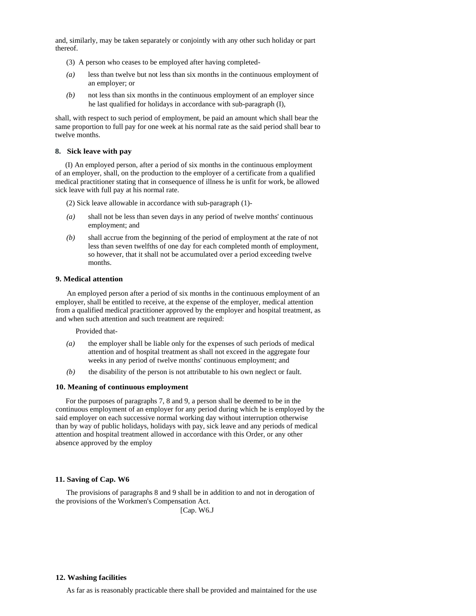and, similarly, may be taken separately or conjointly with any other such holiday or part thereof.

- (3) A person who ceases to be employed after having completed-
- *(a)* less than twelve but not less than six months in the continuous employment of an employer; or
- *(b)* not less than six months in the continuous employment of an employer since he last qualified for holidays in accordance with sub-paragraph (I),

shall, with respect to such period of employment, be paid an amount which shall bear the same proportion to full pay for one week at his normal rate as the said period shall bear to twelve months.

#### **8. Sick leave with pay**

(I) An employed person, after a period of six months in the continuous employment of an employer, shall, on the production to the employer of a certificate from a qualified medical practitioner stating that in consequence of illness he is unfit for work, be allowed sick leave with full pay at his normal rate.

(2) Sick leave allowable in accordance with sub-paragraph (1)-

- *(a)* shall not be less than seven days in any period of twelve months' continuous employment; and
- *(b)* shall accrue from the beginning of the period of employment at the rate of not less than seven twelfths of one day for each completed month of employment, so however, that it shall not be accumulated over a period exceeding twelve months.

### **9. Medical attention**

An employed person after a period of six months in the continuous employment of an employer, shall be entitled to receive, at the expense of the employer, medical attention from a qualified medical practitioner approved by the employer and hospital treatment, as and when such attention and such treatment are required:

Provided that-

- *(a)* the employer shall be liable only for the expenses of such periods of medical attention and of hospital treatment as shall not exceed in the aggregate four weeks in any period of twelve months' continuous employment; and
- *(b)* the disability of the person is not attributable to his own neglect or fault.

#### **10. Meaning of continuous employment**

For the purposes of paragraphs 7, 8 and 9, a person shall be deemed to be in the continuous employment of an employer for any period during which he is employed by the said employer on each successive normal working day without interruption otherwise than by way of public holidays, holidays with pay, sick leave and any periods of medical attention and hospital treatment allowed in accordance with this Order, or any other absence approved by the employ

### **11. Saving of Cap. W6**

The provisions of paragraphs 8 and 9 shall be in addition to and not in derogation of the provisions of the Workmen's Compensation Act.

[Cap. W6.J

#### **12. Washing facilities**

As far as is reasonably practicable there shall be provided and maintained for the use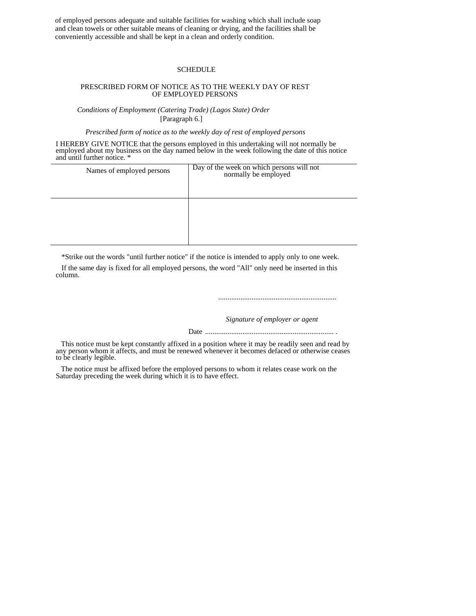of employed persons adequate and suitable facilities for washing which shall include soap and clean towels or other suitable means of cleaning or drying, and the facilities shall be conveniently accessible and shall be kept in a clean and orderly condition.

#### SCHEDULE

## PRESCRIBED FORM OF NOTICE AS TO THE WEEKLY DAY OF REST OF EMPLOYED PERSONS

*Conditions of Employment (Catering Trade) (Lagos State) Order*  [Paragraph 6.]

*Prescribed form of notice as to the weekly day of rest of employed persons* 

I HEREBY GIVE NOTICE that the persons employed in this undertaking will not normally be employed about my business on the day named below in the week following the date of this notice and until further notice. \*

| Names of employed persons | Day of the week on which persons will not<br>normally be employed |
|---------------------------|-------------------------------------------------------------------|
|                           |                                                                   |

\*Strike out the words "until further notice" if the notice is intended to apply only to one week.

If the same day is fixed for all employed persons, the word "All" only need be inserted in this column.

*................................................................*

 *Signature of employer or agent* 

Date ..................................................................... .

This notice must be kept constantly affixed in a position where it may be readily seen and read by any person whom it affects, and must be renewed whenever it becomes defaced or otherwise ceases to be clearly legible.

The notice must be affixed before the employed persons to whom it relates cease work on the Saturday preceding the week during which it is to have effect.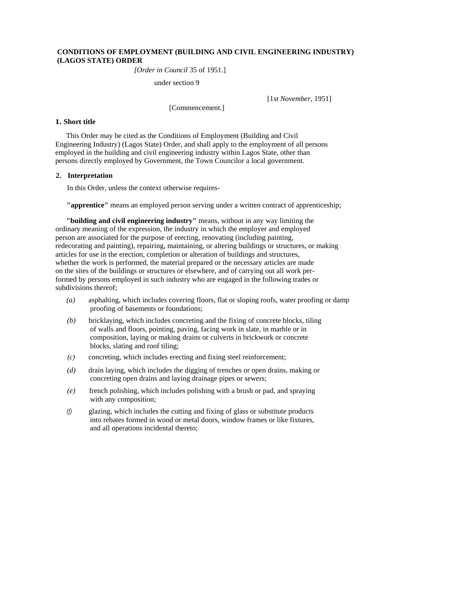## **CONDITIONS OF EMPLOYMENT (BUILDING AND CIVIL ENGINEERING INDUSTRY) (LAGOS STATE) ORDER**

*[Order in Council* 35 of 1951.]

under section 9

[1*st November,* 1951]

# **1. Short title**

This Order may be cited as the Conditions of Employment (Building and Civil Engineering Industry) (Lagos State) Order, and shall apply to the employment of all persons employed in the building and civil engineering industry within Lagos State, other than persons directly employed by Government, the Town Councilor a local government.

[Commencement.]

## **2. Interpretation**

In this Order, unless the context otherwise requires-

**"apprentice"** means an employed person serving under a written contract of apprenticeship;

**"building and civil engineering industry"** means, without in any way limiting the ordinary meaning of the expression, the industry in which the employer and employed person are associated for the purpose of erecting, renovating (including painting, redecorating and painting), repairing, maintaining, or altering buildings or structures, or making articles for use in the erection, completion or alteration of buildings and structures, whether the work is performed, the material prepared or the necessary articles are made on the sites of the buildings or structures or elsewhere, and of carrying out all work performed by persons employed in such industry who are engaged in the following trades or subdivisions thereof;

- *(a)* asphalting, which includes covering floors, flat or sloping roofs, water proofing or damp proofing of basements or foundations;
- *(b)* bricklaying, which includes concreting and the fixing of concrete blocks, tiling of walls and floors, pointing, paving, facing work in slate, in marble or in composition, laying or making drains or culverts in brickwork or concrete blocks, slating and roof tiling;
- *(c)* concreting, which includes erecting and fixing steel reinforcement;
- *(d)* drain laying, which includes the digging of trenches or open drains, making or concreting open drains and laying drainage pipes or sewers;
- *(e)* french polishing, which includes polishing with a brush or pad, and spraying with any composition;
- *(f)* glazing, which includes the cutting and fixing of glass or substitute products into rebates formed in wood or metal doors, window frames or like fixtures, and all operations incidental thereto;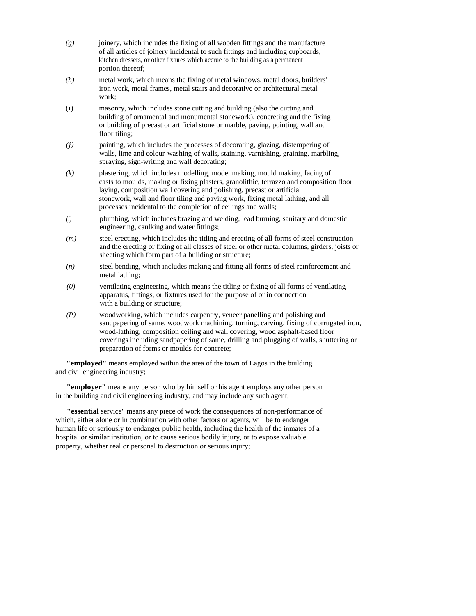- *(g)* joinery, which includes the fixing of all wooden fittings and the manufacture of all articles of joinery incidental to such fittings and including cupboards, kitchen dressers, or other fixtures which accrue to the building as a permanent portion thereof;
- *(h)* metal work, which means the fixing of metal windows, metal doors, builders' iron work, metal frames, metal stairs and decorative or architectural metal work;
- (i) masonry, which includes stone cutting and building (also the cutting and building of ornamental and monumental stonework), concreting and the fixing or building of precast or artificial stone or marble, paving, pointing, wall and floor tiling;
- *(j)* painting, which includes the processes of decorating, glazing, distempering of walls, lime and colour-washing of walls, staining, varnishing, graining, marbling, spraying, sign-writing and wall decorating;
- *(k)* plastering, which includes modelling, model making, mould making, facing of casts to moulds, making or fixing plasters, granolithic, terrazzo and composition floor laying, composition wall covering and polishing, precast or artificial stonework, wall and floor tiling and paving work, fixing metal lathing, and all processes incidental to the completion of ceilings and walls;
- *(I)* plumbing, which includes brazing and welding, lead burning, sanitary and domestic engineering, caulking and water fittings;
- *(m)* steel erecting, which includes the titling and erecting of all forms of steel construction and the erecting or fixing of all classes of steel or other metal columns, girders, joists or sheeting which form part of a building or structure;
- *(n)* steel bending, which includes making and fitting all forms of steel reinforcement and metal lathing;
- *(0)* ventilating engineering, which means the titling or fixing of all forms of ventilating apparatus, fittings, or fixtures used for the purpose of or in connection with a building or structure;
- *(P)* woodworking, which includes carpentry, veneer panelling and polishing and sandpapering of same, woodwork machining, turning, carving, fixing of corrugated iron, wood-lathing, composition ceiling and wall covering, wood asphalt-based floor coverings including sandpapering of same, drilling and plugging of walls, shuttering or preparation of forms or moulds for concrete;

**"employed"** means employed within the area of the town of Lagos in the building and civil engineering industry;

**"employer"** means any person who by himself or his agent employs any other person in the building and civil engineering industry, and may include any such agent;

**"essential** service" means any piece of work the consequences of non-performance of which, either alone or in combination with other factors or agents, will be to endanger human life or seriously to endanger public health, including the health of the inmates of a hospital or similar institution, or to cause serious bodily injury, or to expose valuable property, whether real or personal to destruction or serious injury;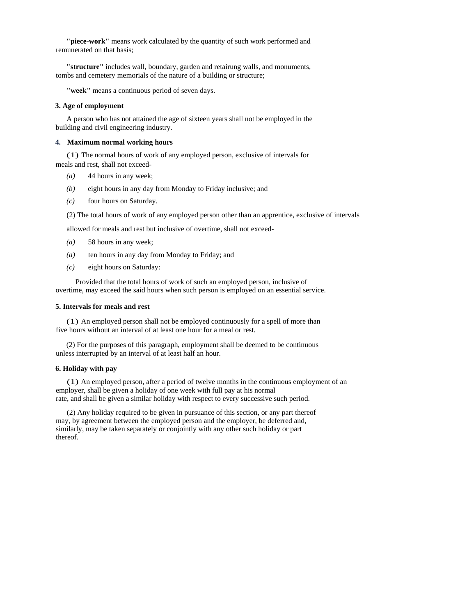**"piece-work"** means work calculated by the quantity of such work performed and remunerated on that basis;

**"structure"** includes wall, boundary, garden and retairung walls, and monuments, tombs and cemetery memorials of the nature of a building or structure;

**"week"** means a continuous period of seven days.

#### **3. Age of employment**

A person who has not attained the age of sixteen years shall not be employed in the building and civil engineering industry.

## **4. Maximum normal working hours**

(1) The normal hours of work of any employed person, exclusive of intervals for meals and rest, shall not exceed-

- $(a)$  44 hours in any week:
- *(b)* eight hours in any day from Monday to Friday inclusive; and
- *(c)* four hours on Saturday.

(2) The total hours of work of any employed person other than an apprentice, exclusive of intervals

allowed for meals and rest but inclusive of overtime, shall not exceed-

- *(a)* 58 hours in any week;
- *(a)* ten hours in any day from Monday to Friday; and
- *(c)* eight hours on Saturday:

Provided that the total hours of work of such an employed person, inclusive of overtime, may exceed the said hours when such person is employed on an essential service.

### **5. Intervals for meals and rest**

(1) An employed person shall not be employed continuously for a spell of more than five hours without an interval of at least one hour for a meal or rest.

(2) For the purposes of this paragraph, employment shall be deemed to be continuous unless interrupted by an interval of at least half an hour.

#### **6. Holiday with pay**

(1) An employed person, after a period of twelve months in the continuous employment of an employer, shall be given a holiday of one week with full pay at his normal rate, and shall be given a similar holiday with respect to every successive such period.

(2) Any holiday required to be given in pursuance of this section, or any part thereof may, by agreement between the employed person and the employer, be deferred and, similarly, may be taken separately or conjointly with any other such holiday or part thereof.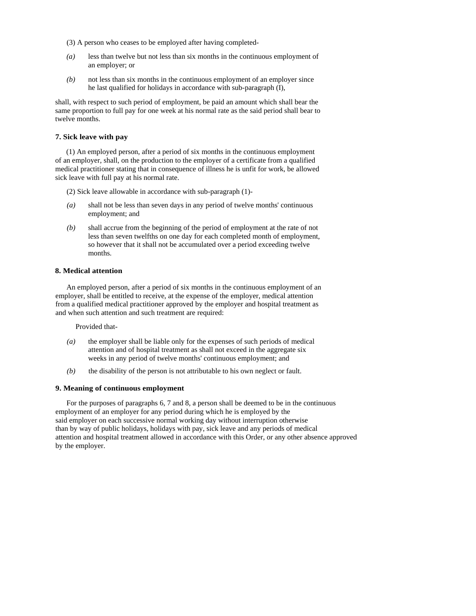- (3) A person who ceases to be employed after having completed-
- *(a)* less than twelve but not less than six months in the continuous employment of an employer; or
- *(b)* not less than six months in the continuous employment of an employer since he last qualified for holidays in accordance with sub-paragraph (I),

shall, with respect to such period of employment, be paid an amount which shall bear the same proportion to full pay for one week at his normal rate as the said period shall bear to twelve months.

# **7. Sick leave with pay**

(1) An employed person, after a period of six months in the continuous employment of an employer, shall, on the production to the employer of a certificate from a qualified medical practitioner stating that in consequence of illness he is unfit for work, be allowed sick leave with full pay at his normal rate.

(2) Sick leave allowable in accordance with sub-paragraph (1)-

- *(a)* shall not be less than seven days in any period of twelve months' continuous employment; and
- *(b)* shall accrue from the beginning of the period of employment at the rate of not less than seven twelfths on one day for each completed month of employment, so however that it shall not be accumulated over a period exceeding twelve months.

## **8. Medical attention**

An employed person, after a period of six months in the continuous employment of an employer, shall be entitled to receive, at the expense of the employer, medical attention from a qualified medical practitioner approved by the employer and hospital treatment as and when such attention and such treatment are required:

Provided that-

- *(a)* the employer shall be liable only for the expenses of such periods of medical attention and of hospital treatment as shall not exceed in the aggregate six weeks in any period of twelve months' continuous employment; and
- *(b)* the disability of the person is not attributable to his own neglect or fault.

#### **9. Meaning of continuous employment**

For the purposes of paragraphs 6, 7 and 8, a person shall be deemed to be in the continuous employment of an employer for any period during which he is employed by the said employer on each successive normal working day without interruption otherwise than by way of public holidays, holidays with pay, sick leave and any periods of medical attention and hospital treatment allowed in accordance with this Order, or any other absence approved by the employer.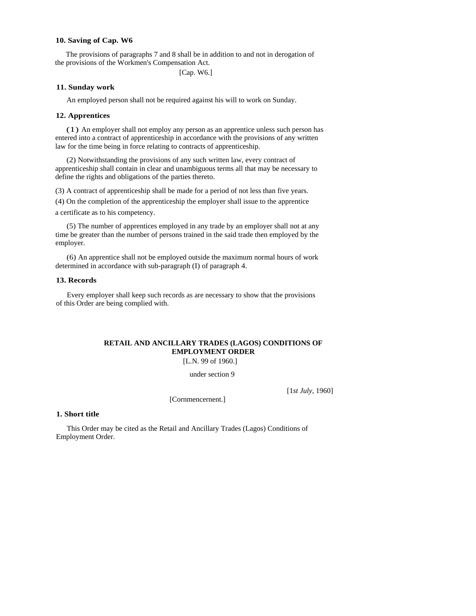## **10. Saving of Cap. W6**

The provisions of paragraphs 7 and 8 shall be in addition to and not in derogation of the provisions of the Workmen's Compensation Act.

[Cap. W6.]

### **11. Sunday work**

An employed person shall not be required against his will to work on Sunday.

### **12. Apprentices**

(1) An employer shall not employ any person as an apprentice unless such person has entered into a contract of apprenticeship in accordance with the provisions of any written law for the time being in force relating to contracts of apprenticeship.

(2) Notwithstanding the provisions of any such written law, every contract of apprenticeship shall contain in clear and unambiguous terms all that may be necessary to define the rights and obligations of the parties thereto.

(3) A contract of apprenticeship shall be made for a period of not less than five years.

(4) On the completion of the apprenticeship the employer shall issue to the apprentice a certificate as to his competency.

(5) The number of apprentices employed in any trade by an employer shall not at any time be greater than the number of persons trained in the said trade then employed by the employer.

(6) An apprentice shall not be employed outside the maximum normal hours of work determined in accordance with sub-paragraph (I) of paragraph 4.

#### **13. Records**

Every employer shall keep such records as are necessary to show that the provisions of this Order are being complied with.

# **RETAIL AND ANCILLARY TRADES (LAGOS) CONDITIONS OF EMPLOYMENT ORDER**

[L.N. 99 of 1960.]

under section 9

[Cornmencernent.]

[1*st July,* 1960]

#### **1. Short title**

This Order may be cited as the Retail and Ancillary Trades (Lagos) Conditions of Employment Order.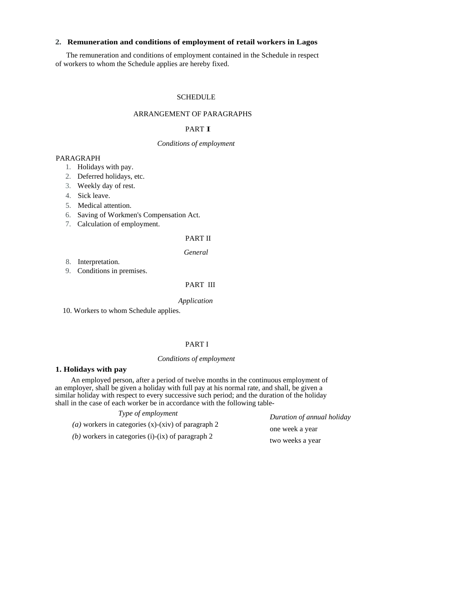# **2. Remuneration and conditions of employment of retail workers in Lagos**

The remuneration and conditions of employment contained in the Schedule in respect of workers to whom the Schedule applies are hereby fixed.

## **SCHEDULE**

## ARRANGEMENT OF PARAGRAPHS

#### PART I

## *Conditions of employment*

## PARAGRAPH

- 1. Holidays with pay.
- 2. Deferred holidays, etc.
- 3. Weekly day of rest.
- 4. Sick leave.
- 5. Medical attention.
- 6. Saving of Workmen's Compensation Act.
- 7. Calculation of employment.

# PART II

*General* 

8. Interpretation.

9. Conditions in premises.

## PART III

#### *Application*

10. Workers to whom Schedule applies.

# PART I

## *Conditions of employment*

#### **1. Holidays with pay**

An employed person, after a period of twelve months in the continuous employment of an employer, shall be given a holiday with full pay at his normal rate, and shall, be given a similar holiday with respect to every successive such period; and the duration of the holiday shall in the case of each worker be in accordance with the following table-

| Type of employment                                          |  |
|-------------------------------------------------------------|--|
| ( <i>a</i> ) workers in categories (x)-(xiv) of paragraph 2 |  |
| (b) workers in categories (i)-(ix) of paragraph 2           |  |

*Duration of annual holiday*  one week a year two weeks a year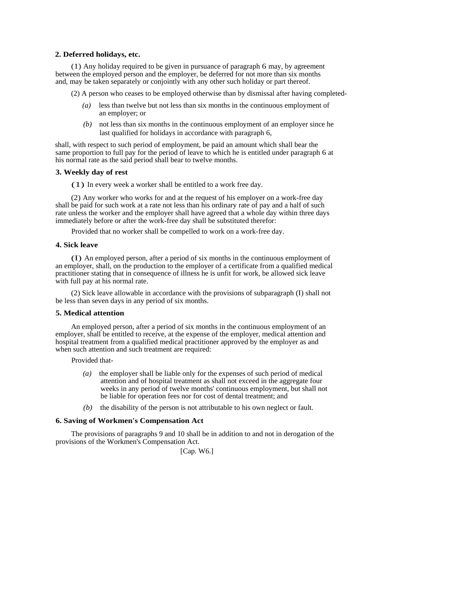### **2. Deferred holidays, etc.**

(1) Any holiday required to be given in pursuance of paragraph 6 may, by agreement between the employed person and the employer, be deferred for not more than six months and, may be taken separately or conjointly with any other such holiday or part thereof.

(2) A person who ceases to be employed otherwise than by dismissal after having completed-

- *(a)* less than twelve but not less than six months in the continuous employment of an employer; or
- *(b)* not less than six months in the continuous employment of an employer since he last qualified for holidays in accordance with paragraph 6,

shall, with respect to such period of employment, be paid an amount which shall bear the same proportion to full pay for the period of leave to which he is entitled under paragraph 6 at his normal rate as the said period shall bear to twelve months.

## **3. Weekly day of rest**

(1) In every week a worker shall be entitled to a work free day.

(2) Any worker who works for and at the request of his employer on a work-free day shall be paid for such work at a rate not less than his ordinary rate of pay and a half of such rate unless the worker and the employer shall have agreed that a whole day within three days immediately before or after the work-free day shall be substituted therefor:

Provided that no worker shall be compelled to work on a work-free day.

### **4. Sick leave**

(I) An employed person, after a period of six months in the continuous employment of an employer, shall, on the production to the employer of a certificate from a qualified medical practitioner stating that in consequence of illness he is unfit for work, be allowed sick leave with full pay at his normal rate.

(2) Sick leave allowable in accordance with the provisions of subparagraph (I) shall not be less than seven days in any period of six months.

#### **5. Medical attention**

An employed person, after a period of six months in the continuous employment of an employer, shall be entitled to receive, at the expense of the employer, medical attention and hospital treatment from a qualified medical practitioner approved by the employer as and when such attention and such treatment are required:

Provided that-

- *(a)* the employer shall be liable only for the expenses of such period of medical attention and of hospital treatment as shall not exceed in the aggregate four weeks in any period of twelve months' continuous employment, but shall not be liable for operation fees nor for cost of dental treatment; and
- *(b)* the disability of the person is not attributable to his own neglect or fault.

#### **6. Saving of Workmen's Compensation Act**

The provisions of paragraphs 9 and 10 shall be in addition to and not in derogation of the provisions of the Workmen's Compensation Act.

[Cap. W6.]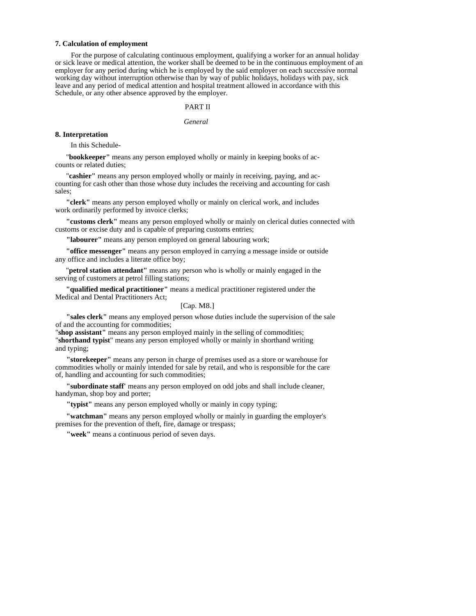#### **7. Calculation of employment**

For the purpose of calculating continuous employment, qualifying a worker for an annual holiday or sick leave or medical attention, the worker shall be deemed to be in the continuous employment of an employer for any period during which he is employed by the said employer on each successive normal working day without interruption otherwise than by way of public holidays, holidays with pay, sick leave and any period of medical attention and hospital treatment allowed in accordance with this Schedule, or any other absence approved by the employer.

### PART II

#### *General*

#### **8. Interpretation**

In this Schedule-

"**bookkeeper"** means any person employed wholly or mainly in keeping books of accounts or related duties;

"**cashier"** means any person employed wholly or mainly in receiving, paying, and accounting for cash other than those whose duty includes the receiving and accounting for cash sales;

**"clerk"** means any person employed wholly or mainly on clerical work, and includes work ordinarily performed by invoice clerks;

**"customs clerk"** means any person employed wholly or mainly on clerical duties connected with customs or excise duty and is capable of preparing customs entries;

**"labourer"** means any person employed on general labouring work;

**"office messenger"** means any person employed in carrying a message inside or outside any office and includes a literate office boy;

"**petrol station attendant"** means any person who is wholly or mainly engaged in the serving of customers at petrol filling stations;

**"qualified medical practitioner"** means a medical practitioner registered under the Medical and Dental Practitioners Act;

### [Cap. M8.]

**"sales clerk"** means any employed person whose duties include the supervision of the sale of and the accounting for commodities;

"**shop assistant"** means any person employed mainly in the selling of commodities; "**shorthand typist**" means any person employed wholly or mainly in shorthand writing and typing;

**"storekeeper"** means any person in charge of premises used as a store or warehouse for commodities wholly or mainly intended for sale by retail, and who is responsible for the care of, handling and accounting for such commodities;

**"subordinate staff'** means any person employed on odd jobs and shall include cleaner, handyman, shop boy and porter;

**"typist"** means any person employed wholly or mainly in copy typing;

**"watchman"** means any person employed wholly or mainly in guarding the employer's premises for the prevention of theft, fire, damage or trespass;

**"week"** means a continuous period of seven days.